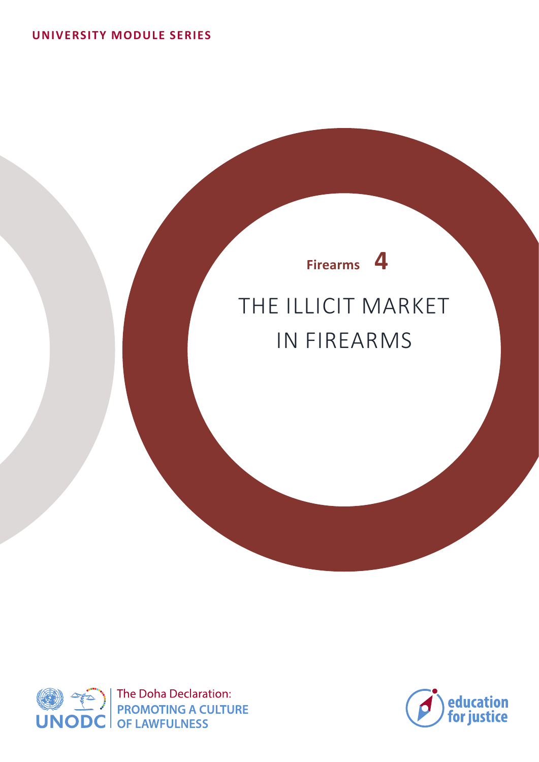# THE ILLICIT MARKET IN FIREARMS **Firearms 4**



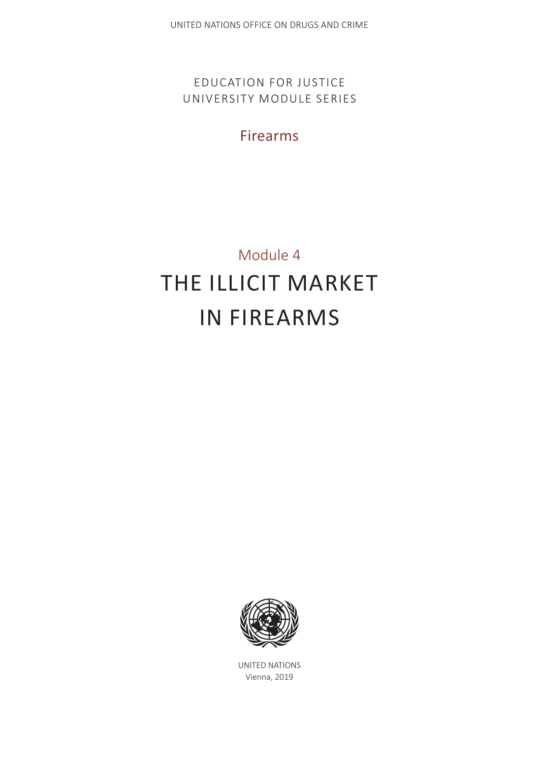EDUCATION FOR JUSTICE UNIVERSITY MODULE SERIES

Firearms

# Module 4 THE ILLICIT MARKET IN FIREARMS



UNITED NATIONS Vienna, 2019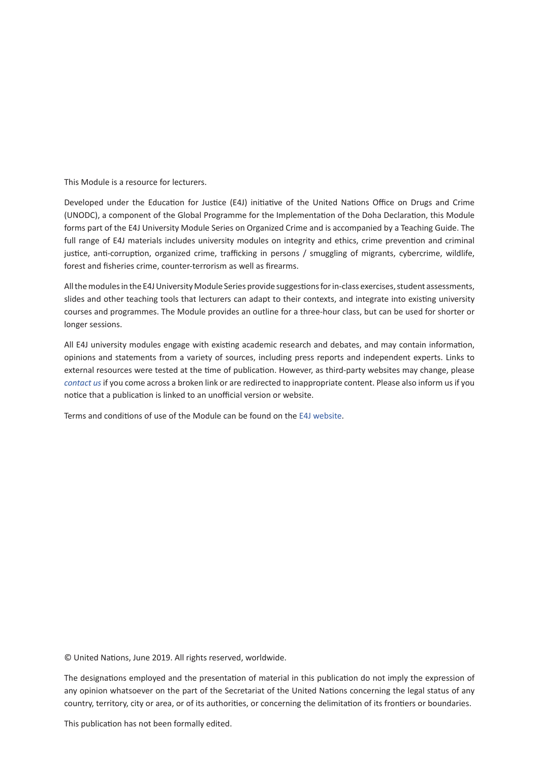This Module is a resource for lecturers.

Developed under the Education for Justice (E4J) initiative of the United Nations Office on Drugs and Crime (UNODC), a component of the Global Programme for the Implementation of the Doha Declaration, this Module forms part of the E4J University Module Series on Organized Crime and is accompanied by a Teaching Guide. The full range of E4J materials includes university modules on integrity and ethics, crime prevention and criminal justice, anti-corruption, organized crime, trafficking in persons / smuggling of migrants, cybercrime, wildlife, forest and fisheries crime, counter-terrorism as well as firearms.

All the modules in the E4J University Module Series provide suggestions for in-class exercises, student assessments, slides and other teaching tools that lecturers can adapt to their contexts, and integrate into existing university courses and programmes. The Module provides an outline for a three-hour class, but can be used for shorter or longer sessions.

All E4J university modules engage with existing academic research and debates, and may contain information, opinions and statements from a variety of sources, including press reports and independent experts. Links to external resources were tested at the time of publication. However, as third-party websites may change, please *contact us* if you come across a broken link or are redirected to inappropriate content. Please also inform us if you notice that a publication is linked to an unofficial version or website.

Terms and conditions of use of the Module can be found on the E4J website.

© United Nations, June 2019. All rights reserved, worldwide.

The designations employed and the presentation of material in this publication do not imply the expression of any opinion whatsoever on the part of the Secretariat of the United Nations concerning the legal status of any country, territory, city or area, or of its authorities, or concerning the delimitation of its frontiers or boundaries.

This publication has not been formally edited.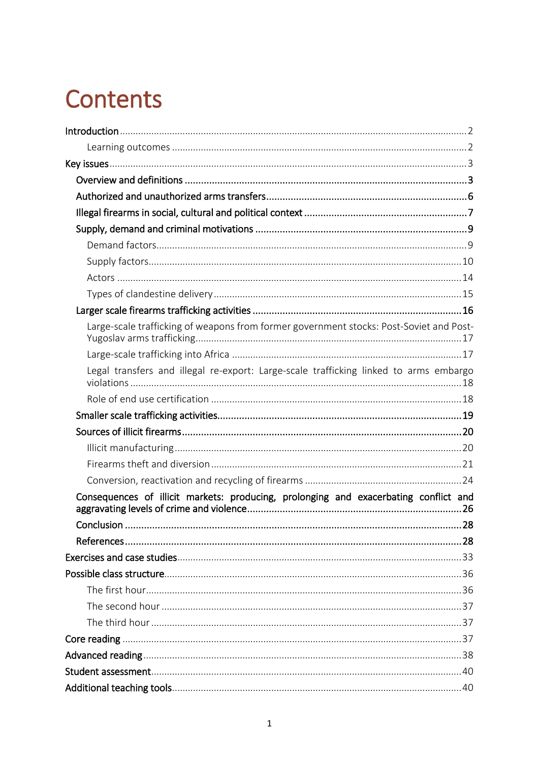# **Contents**

| Large-scale trafficking of weapons from former government stocks: Post-Soviet and Post- |  |
|-----------------------------------------------------------------------------------------|--|
|                                                                                         |  |
| Legal transfers and illegal re-export: Large-scale trafficking linked to arms embargo   |  |
|                                                                                         |  |
|                                                                                         |  |
|                                                                                         |  |
|                                                                                         |  |
|                                                                                         |  |
|                                                                                         |  |
| Consequences of illicit markets: producing, prolonging and exacerbating conflict and    |  |
|                                                                                         |  |
|                                                                                         |  |
|                                                                                         |  |
|                                                                                         |  |
|                                                                                         |  |
|                                                                                         |  |
|                                                                                         |  |
|                                                                                         |  |
|                                                                                         |  |
|                                                                                         |  |
|                                                                                         |  |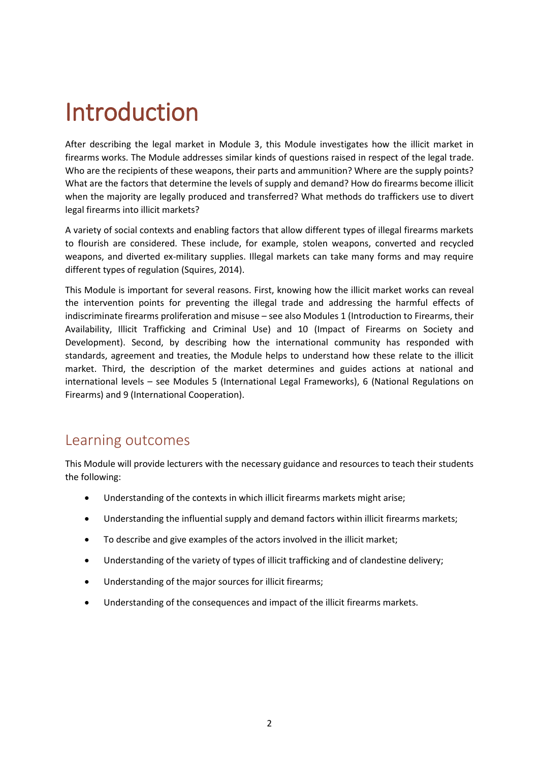# <span id="page-5-0"></span>Introduction

After describing the legal market in Module 3, this Module investigates how the illicit market in firearms works. The Module addresses similar kinds of questions raised in respect of the legal trade. Who are the recipients of these weapons, their parts and ammunition? Where are the supply points? What are the factors that determine the levels of supply and demand? How do firearms become illicit when the majority are legally produced and transferred? What methods do traffickers use to divert legal firearms into illicit markets?

A variety of social contexts and enabling factors that allow different types of illegal firearms markets to flourish are considered. These include, for example, stolen weapons, converted and recycled weapons, and diverted ex-military supplies. Illegal markets can take many forms and may require different types of regulation (Squires, 2014).

This Module is important for several reasons. First, knowing how the illicit market works can reveal the intervention points for preventing the illegal trade and addressing the harmful effects of indiscriminate firearms proliferation and misuse – see also Modules 1 (Introduction to Firearms, their Availability, Illicit Trafficking and Criminal Use) and 10 (Impact of Firearms on Society and Development). Second, by describing how the international community has responded with standards, agreement and treaties, the Module helps to understand how these relate to the illicit market. Third, the description of the market determines and guides actions at national and international levels – see Modules 5 (International Legal Frameworks), 6 (National Regulations on Firearms) and 9 (International Cooperation).

### <span id="page-5-1"></span>Learning outcomes

This Module will provide lecturers with the necessary guidance and resources to teach their students the following:

- Understanding of the contexts in which illicit firearms markets might arise;
- Understanding the influential supply and demand factors within illicit firearms markets;
- To describe and give examples of the actors involved in the illicit market;
- Understanding of the variety of types of illicit trafficking and of clandestine delivery;
- Understanding of the major sources for illicit firearms;
- Understanding of the consequences and impact of the illicit firearms markets.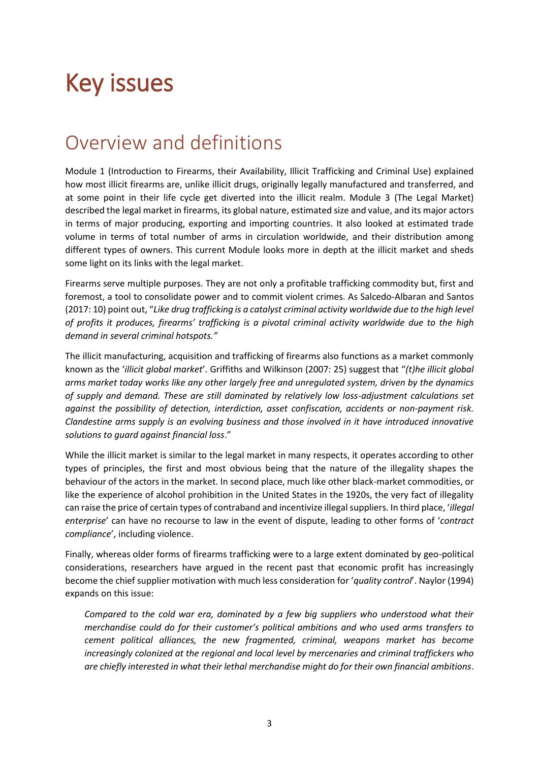# <span id="page-6-0"></span>Key issues

## <span id="page-6-1"></span>Overview and definitions

Module 1 (Introduction to Firearms, their Availability, Illicit Trafficking and Criminal Use) explained how most illicit firearms are, unlike illicit drugs, originally legally manufactured and transferred, and at some point in their life cycle get diverted into the illicit realm. Module 3 (The Legal Market) described the legal market in firearms, its global nature, estimated size and value, and its major actors in terms of major producing, exporting and importing countries. It also looked at estimated trade volume in terms of total number of arms in circulation worldwide, and their distribution among different types of owners. This current Module looks more in depth at the illicit market and sheds some light on its links with the legal market.

Firearms serve multiple purposes. They are not only a profitable trafficking commodity but, first and foremost, a tool to consolidate power and to commit violent crimes. As Salcedo-Albaran and Santos (2017: 10) point out, "*Like drug trafficking is a catalyst criminal activity worldwide due to the high level of profits it produces, firearms' trafficking is a pivotal criminal activity worldwide due to the high demand in several criminal hotspots."*

The illicit manufacturing, acquisition and trafficking of firearms also functions as a market commonly known as the '*illicit global market*'. Griffiths and Wilkinson (2007: 25) suggest that "*(t)he illicit global arms market today works like any other largely free and unregulated system, driven by the dynamics of supply and demand. These are still dominated by relatively low loss-adjustment calculations set against the possibility of detection, interdiction, asset confiscation, accidents or non-payment risk. Clandestine arms supply is an evolving business and those involved in it have introduced innovative solutions to guard against financial loss*."

While the illicit market is similar to the legal market in many respects, it operates according to other types of principles, the first and most obvious being that the nature of the illegality shapes the behaviour of the actors in the market. In second place, much like other black-market commodities, or like the experience of alcohol prohibition in the United States in the 1920s, the very fact of illegality can raise the price of certain types of contraband and incentivize illegal suppliers. In third place, '*illegal enterprise*' can have no recourse to law in the event of dispute, leading to other forms of '*contract compliance*', including violence.

Finally, whereas older forms of firearms trafficking were to a large extent dominated by geo-political considerations, researchers have argued in the recent past that economic profit has increasingly become the chief supplier motivation with much less consideration for '*quality control*'. Naylor (1994) expands on this issue:

*Compared to the cold war era, dominated by a few big suppliers who understood what their merchandise could do for their customer's political ambitions and who used arms transfers to cement political alliances, the new fragmented, criminal, weapons market has become increasingly colonized at the regional and local level by mercenaries and criminal traffickers who are chiefly interested in what their lethal merchandise might do for their own financial ambitions*.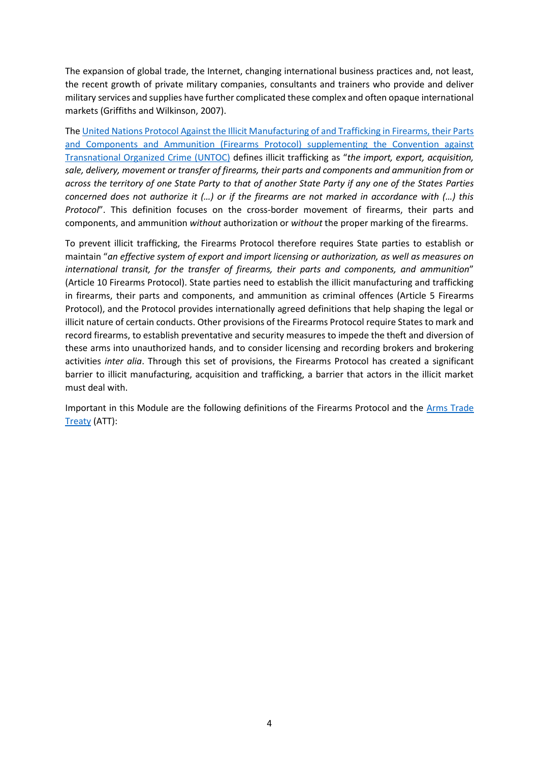The expansion of global trade, the Internet, changing international business practices and, not least, the recent growth of private military companies, consultants and trainers who provide and deliver military services and supplies have further complicated these complex and often opaque international markets (Griffiths and Wilkinson, 2007).

Th[e United Nations Protocol Against the Illicit Manufacturing of and Trafficking in Firearms, their Parts](https://treaties.un.org/doc/source/recenttexts/18-12_c_e.pdf)  [and Components and Ammunition \(Firearms Protocol\) supplementing the Convention against](https://treaties.un.org/doc/source/recenttexts/18-12_c_e.pdf)  [Transnational Organized Crime \(UNTOC\)](https://treaties.un.org/doc/source/recenttexts/18-12_c_e.pdf) defines illicit trafficking as "*the import, export, acquisition, sale, delivery, movement or transfer of firearms, their parts and components and ammunition from or across the territory of one State Party to that of another State Party if any one of the States Parties concerned does not authorize it (…) or if the firearms are not marked in accordance with (…) this Protocol*". This definition focuses on the cross-border movement of firearms, their parts and components, and ammunition *without* authorization or *without* the proper marking of the firearms.

To prevent illicit trafficking, the Firearms Protocol therefore requires State parties to establish or maintain "*an effective system of export and import licensing or authorization, as well as measures on international transit, for the transfer of firearms, their parts and components, and ammunition*" (Article 10 Firearms Protocol). State parties need to establish the illicit manufacturing and trafficking in firearms, their parts and components, and ammunition as criminal offences (Article 5 Firearms Protocol), and the Protocol provides internationally agreed definitions that help shaping the legal or illicit nature of certain conducts. Other provisions of the Firearms Protocol require States to mark and record firearms, to establish preventative and security measures to impede the theft and diversion of these arms into unauthorized hands, and to consider licensing and recording brokers and brokering activities *inter alia*. Through this set of provisions, the Firearms Protocol has created a significant barrier to illicit manufacturing, acquisition and trafficking, a barrier that actors in the illicit market must deal with.

Important in this Module are the following definitions of the Firearms Protocol and the [Arms Trade](https://unoda-web.s3.amazonaws.com/wp-content/uploads/2013/06/English7.pdf)  [Treaty](https://unoda-web.s3.amazonaws.com/wp-content/uploads/2013/06/English7.pdf) (ATT):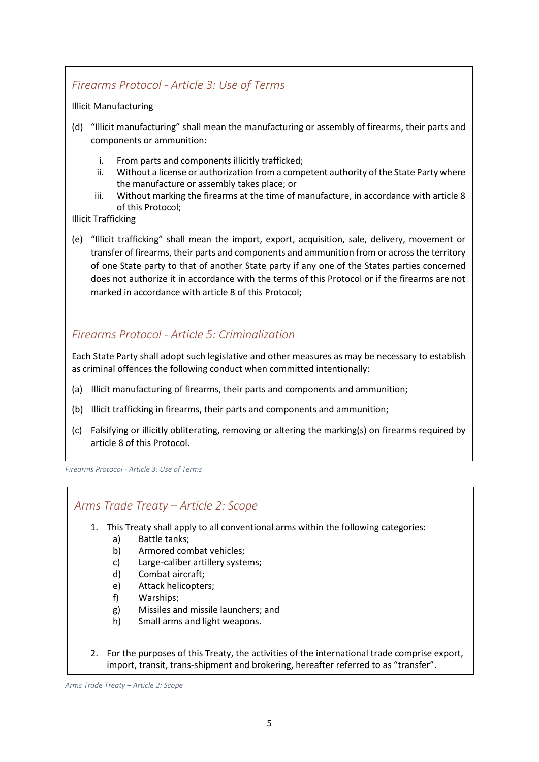#### *Firearms Protocol - Article 3: Use of Terms*

#### Illicit Manufacturing

- (d) "Illicit manufacturing" shall mean the manufacturing or assembly of firearms, their parts and components or ammunition:
	- i. From parts and components illicitly trafficked;
	- ii. Without a license or authorization from a competent authority of the State Party where the manufacture or assembly takes place; or
	- iii. Without marking the firearms at the time of manufacture, in accordance with article 8 of this Protocol;

#### Illicit Trafficking

(e) "Illicit trafficking" shall mean the import, export, acquisition, sale, delivery, movement or transfer of firearms, their parts and components and ammunition from or across the territory of one State party to that of another State party if any one of the States parties concerned does not authorize it in accordance with the terms of this Protocol or if the firearms are not marked in accordance with article 8 of this Protocol;

#### *Firearms Protocol - Article 5: Criminalization*

Each State Party shall adopt such legislative and other measures as may be necessary to establish as criminal offences the following conduct when committed intentionally:

- (a) Illicit manufacturing of firearms, their parts and components and ammunition;
- (b) Illicit trafficking in firearms, their parts and components and ammunition;
- (c) Falsifying or illicitly obliterating, removing or altering the marking(s) on firearms required by article 8 of this Protocol.

*Firearms Protocol - Article 3: Use of Terms*

#### *Arms Trade Treaty – Article 2: Scope*

- 1. This Treaty shall apply to all conventional arms within the following categories:
	- a) Battle tanks;
	- b) Armored combat vehicles;
	- c) Large-caliber artillery systems;
	- d) Combat aircraft;
	- e) Attack helicopters;
	- f) Warships;
	- g) Missiles and missile launchers; and
	- h) Small arms and light weapons.
- 2. For the purposes of this Treaty, the activities of the international trade comprise export, import, transit, trans-shipment and brokering, hereafter referred to as "transfer".

*Arms Trade Treaty – Article 2: Scope*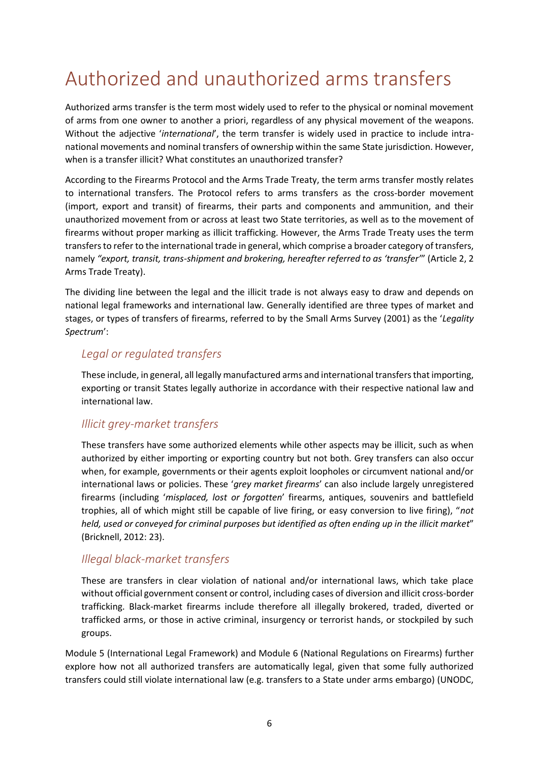## <span id="page-9-0"></span>Authorized and unauthorized arms transfers

Authorized arms transfer is the term most widely used to refer to the physical or nominal movement of arms from one owner to another a priori, regardless of any physical movement of the weapons. Without the adjective '*international*', the term transfer is widely used in practice to include intranational movements and nominal transfers of ownership within the same State jurisdiction. However, when is a transfer illicit? What constitutes an unauthorized transfer?

According to the Firearms Protocol and the Arms Trade Treaty, the term arms transfer mostly relates to international transfers. The Protocol refers to arms transfers as the cross-border movement (import, export and transit) of firearms, their parts and components and ammunition, and their unauthorized movement from or across at least two State territories, as well as to the movement of firearms without proper marking as illicit trafficking. However, the Arms Trade Treaty uses the term transfers to refer to the international trade in general, which comprise a broader category of transfers, namely *"export, transit, trans-shipment and brokering, hereafter referred to as 'transfer'*" (Article 2, 2 Arms Trade Treaty).

The dividing line between the legal and the illicit trade is not always easy to draw and depends on national legal frameworks and international law. Generally identified are three types of market and stages, or types of transfers of firearms, referred to by the Small Arms Survey (2001) as the '*Legality Spectrum*':

#### *Legal or regulated transfers*

These include, in general, all legally manufactured arms and international transfers that importing, exporting or transit States legally authorize in accordance with their respective national law and international law.

#### *Illicit grey-market transfers*

These transfers have some authorized elements while other aspects may be illicit, such as when authorized by either importing or exporting country but not both. Grey transfers can also occur when, for example, governments or their agents exploit loopholes or circumvent national and/or international laws or policies. These '*grey market firearms*' can also include largely unregistered firearms (including '*misplaced, lost or forgotten*' firearms, antiques, souvenirs and battlefield trophies, all of which might still be capable of live firing, or easy conversion to live firing), "*not held, used or conveyed for criminal purposes but identified as often ending up in the illicit market*" (Bricknell, 2012: 23).

#### *Illegal black-market transfers*

These are transfers in clear violation of national and/or international laws, which take place without official government consent or control, including cases of diversion and illicit cross-border trafficking. Black-market firearms include therefore all illegally brokered, traded, diverted or trafficked arms, or those in active criminal, insurgency or terrorist hands, or stockpiled by such groups.

Module 5 (International Legal Framework) and Module 6 (National Regulations on Firearms) further explore how not all authorized transfers are automatically legal, given that some fully authorized transfers could still violate international law (e.g. transfers to a State under arms embargo) (UNODC,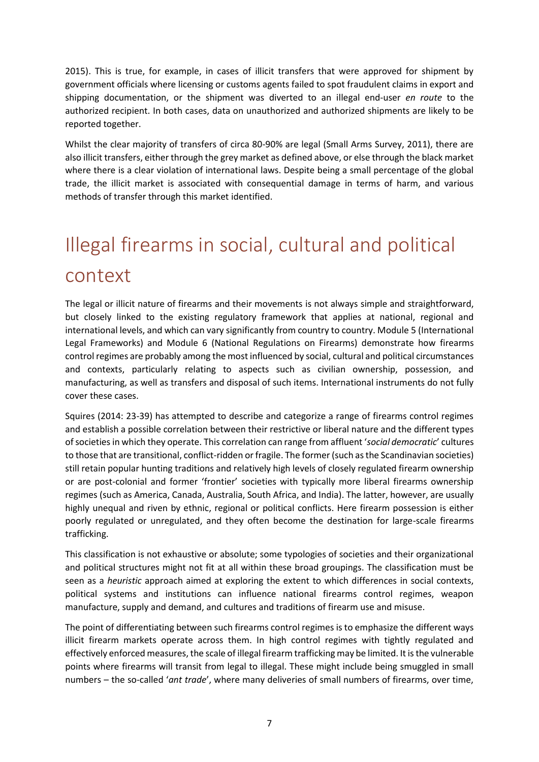2015). This is true, for example, in cases of illicit transfers that were approved for shipment by government officials where licensing or customs agents failed to spot fraudulent claims in export and shipping documentation, or the shipment was diverted to an illegal end-user *en route* to the authorized recipient. In both cases, data on unauthorized and authorized shipments are likely to be reported together.

Whilst the clear majority of transfers of circa 80-90% are legal (Small Arms Survey, 2011), there are also illicit transfers, either through the grey market as defined above, or else through the black market where there is a clear violation of international laws. Despite being a small percentage of the global trade, the illicit market is associated with consequential damage in terms of harm, and various methods of transfer through this market identified.

# <span id="page-10-0"></span>Illegal firearms in social, cultural and political context

The legal or illicit nature of firearms and their movements is not always simple and straightforward, but closely linked to the existing regulatory framework that applies at national, regional and international levels, and which can vary significantly from country to country. Module 5 (International Legal Frameworks) and Module 6 (National Regulations on Firearms) demonstrate how firearms control regimes are probably among the most influenced by social, cultural and political circumstances and contexts, particularly relating to aspects such as civilian ownership, possession, and manufacturing, as well as transfers and disposal of such items. International instruments do not fully cover these cases.

Squires (2014: 23-39) has attempted to describe and categorize a range of firearms control regimes and establish a possible correlation between their restrictive or liberal nature and the different types of societies in which they operate. This correlation can range from affluent '*social democratic*' cultures to those that are transitional, conflict-ridden or fragile. The former (such as the Scandinavian societies) still retain popular hunting traditions and relatively high levels of closely regulated firearm ownership or are post-colonial and former 'frontier' societies with typically more liberal firearms ownership regimes (such as America, Canada, Australia, South Africa, and India). The latter, however, are usually highly unequal and riven by ethnic, regional or political conflicts. Here firearm possession is either poorly regulated or unregulated, and they often become the destination for large-scale firearms trafficking.

This classification is not exhaustive or absolute; some typologies of societies and their organizational and political structures might not fit at all within these broad groupings. The classification must be seen as a *heuristic* approach aimed at exploring the extent to which differences in social contexts, political systems and institutions can influence national firearms control regimes, weapon manufacture, supply and demand, and cultures and traditions of firearm use and misuse.

The point of differentiating between such firearms control regimes is to emphasize the different ways illicit firearm markets operate across them. In high control regimes with tightly regulated and effectively enforced measures, the scale of illegal firearm trafficking may be limited. It is the vulnerable points where firearms will transit from legal to illegal. These might include being smuggled in small numbers – the so-called '*ant trade*', where many deliveries of small numbers of firearms, over time,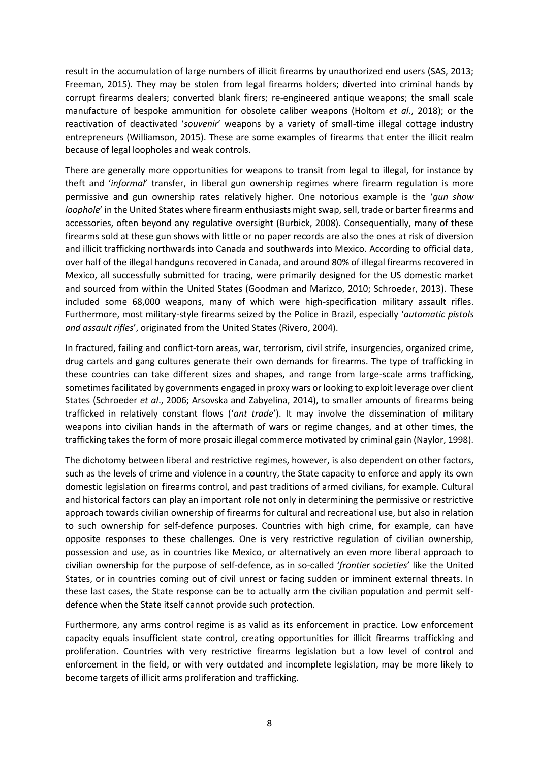result in the accumulation of large numbers of illicit firearms by unauthorized end users (SAS, 2013; Freeman, 2015). They may be stolen from legal firearms holders; diverted into criminal hands by corrupt firearms dealers; converted blank firers; re-engineered antique weapons; the small scale manufacture of bespoke ammunition for obsolete caliber weapons (Holtom *et al*., 2018); or the reactivation of deactivated '*souvenir*' weapons by a variety of small-time illegal cottage industry entrepreneurs (Williamson, 2015). These are some examples of firearms that enter the illicit realm because of legal loopholes and weak controls.

There are generally more opportunities for weapons to transit from legal to illegal, for instance by theft and '*informal*' transfer, in liberal gun ownership regimes where firearm regulation is more permissive and gun ownership rates relatively higher. One notorious example is the '*gun show loophole*' in the United States where firearm enthusiasts might swap, sell, trade or barter firearms and accessories, often beyond any regulative oversight (Burbick, 2008). Consequentially, many of these firearms sold at these gun shows with little or no paper records are also the ones at risk of diversion and illicit trafficking northwards into Canada and southwards into Mexico. According to official data, over half of the illegal handguns recovered in Canada, and around 80% of illegal firearms recovered in Mexico, all successfully submitted for tracing, were primarily designed for the US domestic market and sourced from within the United States (Goodman and Marizco, 2010; Schroeder, 2013). These included some 68,000 weapons, many of which were high-specification military assault rifles. Furthermore, most military-style firearms seized by the Police in Brazil, especially '*automatic pistols and assault rifles*', originated from the United States (Rivero, 2004).

In fractured, failing and conflict-torn areas, war, terrorism, civil strife, insurgencies, organized crime, drug cartels and gang cultures generate their own demands for firearms. The type of trafficking in these countries can take different sizes and shapes, and range from large-scale arms trafficking, sometimes facilitated by governments engaged in proxy wars or looking to exploit leverage over client States (Schroeder *et al*., 2006; Arsovska and Zabyelina, 2014), to smaller amounts of firearms being trafficked in relatively constant flows ('*ant trade*'). It may involve the dissemination of military weapons into civilian hands in the aftermath of wars or regime changes, and at other times, the trafficking takes the form of more prosaic illegal commerce motivated by criminal gain (Naylor, 1998).

The dichotomy between liberal and restrictive regimes, however, is also dependent on other factors, such as the levels of crime and violence in a country, the State capacity to enforce and apply its own domestic legislation on firearms control, and past traditions of armed civilians, for example. Cultural and historical factors can play an important role not only in determining the permissive or restrictive approach towards civilian ownership of firearms for cultural and recreational use, but also in relation to such ownership for self-defence purposes. Countries with high crime, for example, can have opposite responses to these challenges. One is very restrictive regulation of civilian ownership, possession and use, as in countries like Mexico, or alternatively an even more liberal approach to civilian ownership for the purpose of self-defence, as in so-called '*frontier societies*' like the United States, or in countries coming out of civil unrest or facing sudden or imminent external threats. In these last cases, the State response can be to actually arm the civilian population and permit selfdefence when the State itself cannot provide such protection.

Furthermore, any arms control regime is as valid as its enforcement in practice. Low enforcement capacity equals insufficient state control, creating opportunities for illicit firearms trafficking and proliferation. Countries with very restrictive firearms legislation but a low level of control and enforcement in the field, or with very outdated and incomplete legislation, may be more likely to become targets of illicit arms proliferation and trafficking.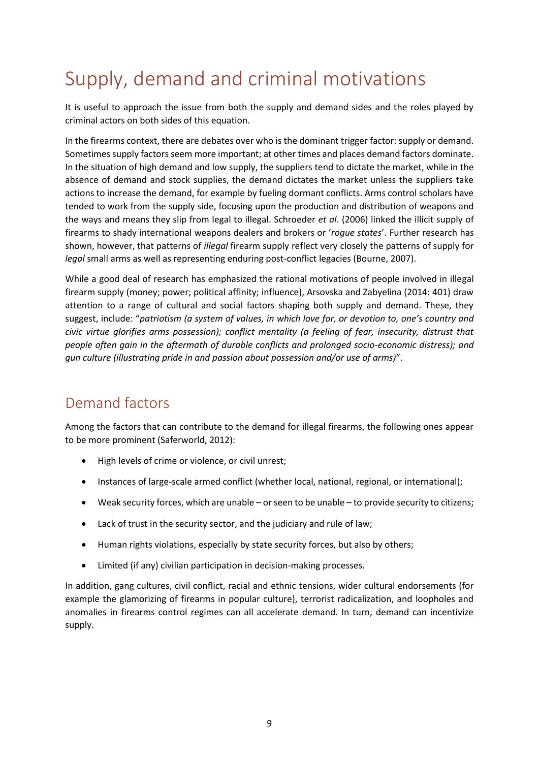# <span id="page-12-0"></span>Supply, demand and criminal motivations

It is useful to approach the issue from both the supply and demand sides and the roles played by criminal actors on both sides of this equation.

In the firearms context, there are debates over who is the dominant trigger factor: supply or demand. Sometimes supply factors seem more important; at other times and places demand factors dominate. In the situation of high demand and low supply, the suppliers tend to dictate the market, while in the absence of demand and stock supplies, the demand dictates the market unless the suppliers take actions to increase the demand, for example by fueling dormant conflicts. Arms control scholars have tended to work from the supply side, focusing upon the production and distribution of weapons and the ways and means they slip from legal to illegal. Schroeder *et al*. (2006) linked the illicit supply of firearms to shady international weapons dealers and brokers or '*rogue states*'. Further research has shown, however, that patterns of *illegal* firearm supply reflect very closely the patterns of supply for *legal* small arms as well as representing enduring post-conflict legacies (Bourne, 2007).

While a good deal of research has emphasized the rational motivations of people involved in illegal firearm supply (money; power; political affinity; influence), Arsovska and Zabyelina (2014: 401) draw attention to a range of cultural and social factors shaping both supply and demand. These, they suggest, include: "*patriotism (a system of values, in which love for, or devotion to, one's country and civic virtue glorifies arms possession); conflict mentality (a feeling of fear, insecurity, distrust that people often gain in the aftermath of durable conflicts and prolonged socio-economic distress); and gun culture (illustrating pride in and passion about possession and/or use of arms)*".

### <span id="page-12-1"></span>Demand factors

Among the factors that can contribute to the demand for illegal firearms, the following ones appear to be more prominent (Saferworld, 2012):

- High levels of crime or violence, or civil unrest;
- Instances of large-scale armed conflict (whether local, national, regional, or international);
- Weak security forces, which are unable or seen to be unable to provide security to citizens;
- Lack of trust in the security sector, and the judiciary and rule of law;
- Human rights violations, especially by state security forces, but also by others;
- Limited (if any) civilian participation in decision-making processes.

In addition, gang cultures, civil conflict, racial and ethnic tensions, wider cultural endorsements (for example the glamorizing of firearms in popular culture), terrorist radicalization, and loopholes and anomalies in firearms control regimes can all accelerate demand. In turn, demand can incentivize supply.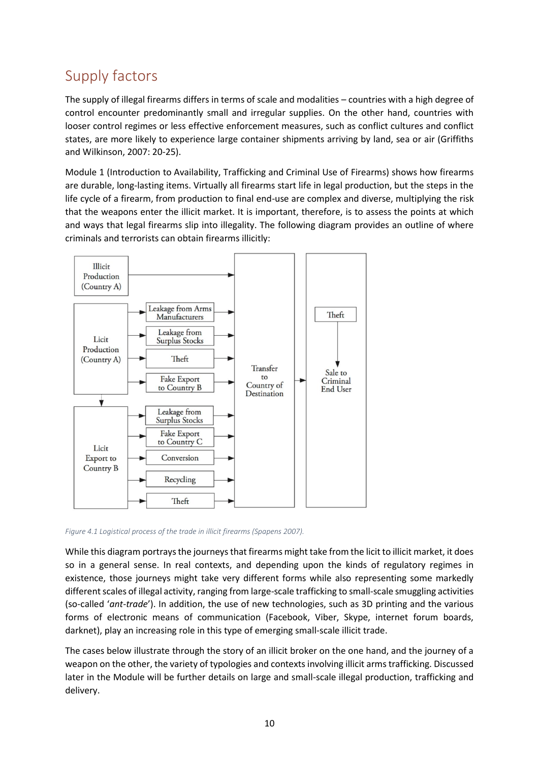### <span id="page-13-0"></span>Supply factors

The supply of illegal firearms differs in terms of scale and modalities – countries with a high degree of control encounter predominantly small and irregular supplies. On the other hand, countries with looser control regimes or less effective enforcement measures, such as conflict cultures and conflict states, are more likely to experience large container shipments arriving by land, sea or air (Griffiths and Wilkinson, 2007: 20-25).

Module 1 (Introduction to Availability, Trafficking and Criminal Use of Firearms) shows how firearms are durable, long-lasting items. Virtually all firearms start life in legal production, but the steps in the life cycle of a firearm, from production to final end-use are complex and diverse, multiplying the risk that the weapons enter the illicit market. It is important, therefore, is to assess the points at which and ways that legal firearms slip into illegality. The following diagram provides an outline of where criminals and terrorists can obtain firearms illicitly:



*Figure 4.1 Logistical process of the trade in illicit firearms (Spapens 2007).*

While this diagram portrays the journeys that firearms might take from the licit to illicit market, it does so in a general sense. In real contexts, and depending upon the kinds of regulatory regimes in existence, those journeys might take very different forms while also representing some markedly different scales of illegal activity, ranging from large-scale trafficking to small-scale smuggling activities (so-called '*ant-trade*'). In addition, the use of new technologies, such as 3D printing and the various forms of electronic means of communication (Facebook, Viber, Skype, internet forum boards, darknet), play an increasing role in this type of emerging small-scale illicit trade.

The cases below illustrate through the story of an illicit broker on the one hand, and the journey of a weapon on the other, the variety of typologies and contexts involving illicit arms trafficking. Discussed later in the Module will be further details on large and small-scale illegal production, trafficking and delivery.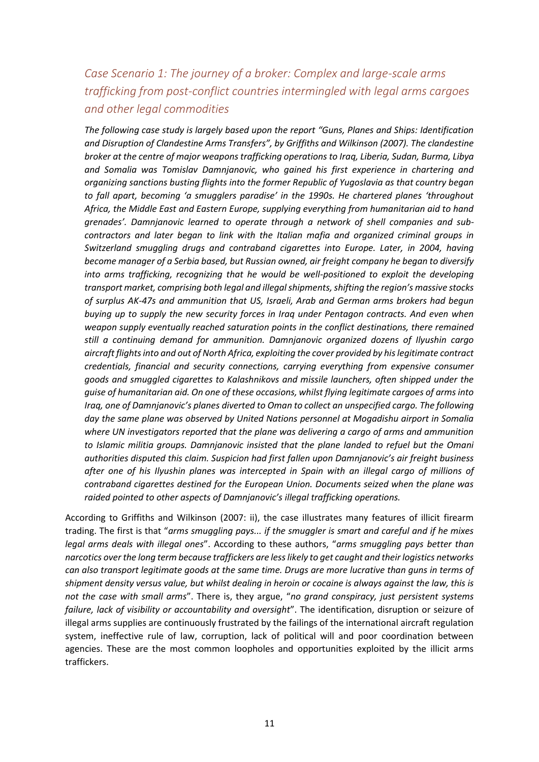#### *Case Scenario 1: The journey of a broker: Complex and large-scale arms trafficking from post-conflict countries intermingled with legal arms cargoes and other legal commodities*

*The following case study is largely based upon the report "Guns, Planes and Ships: Identification and Disruption of Clandestine Arms Transfers", by Griffiths and Wilkinson (2007). The clandestine broker at the centre of major weapons trafficking operations to Iraq, Liberia, Sudan, Burma, Libya and Somalia was Tomislav Damnjanovic, who gained his first experience in chartering and organizing sanctions busting flights into the former Republic of Yugoslavia as that country began to fall apart, becoming 'a smugglers paradise' in the 1990s. He chartered planes 'throughout Africa, the Middle East and Eastern Europe, supplying everything from humanitarian aid to hand grenades'. Damnjanovic learned to operate through a network of shell companies and subcontractors and later began to link with the Italian mafia and organized criminal groups in Switzerland smuggling drugs and contraband cigarettes into Europe. Later, in 2004, having become manager of a Serbia based, but Russian owned, air freight company he began to diversify into arms trafficking, recognizing that he would be well-positioned to exploit the developing transport market, comprising both legal and illegal shipments, shifting the region's massive stocks of surplus AK-47s and ammunition that US, Israeli, Arab and German arms brokers had begun buying up to supply the new security forces in Iraq under Pentagon contracts. And even when weapon supply eventually reached saturation points in the conflict destinations, there remained still a continuing demand for ammunition. Damnjanovic organized dozens of Ilyushin cargo aircraft flights into and out of North Africa, exploiting the cover provided by his legitimate contract credentials, financial and security connections, carrying everything from expensive consumer goods and smuggled cigarettes to Kalashnikovs and missile launchers, often shipped under the guise of humanitarian aid. On one of these occasions, whilst flying legitimate cargoes of arms into Iraq, one of Damnjanovic's planes diverted to Oman to collect an unspecified cargo. The following day the same plane was observed by United Nations personnel at Mogadishu airport in Somalia where UN investigators reported that the plane was delivering a cargo of arms and ammunition to Islamic militia groups. Damnjanovic insisted that the plane landed to refuel but the Omani authorities disputed this claim. Suspicion had first fallen upon Damnjanovic's air freight business after one of his Ilyushin planes was intercepted in Spain with an illegal cargo of millions of contraband cigarettes destined for the European Union. Documents seized when the plane was raided pointed to other aspects of Damnjanovic's illegal trafficking operations.*

According to Griffiths and Wilkinson (2007: ii), the case illustrates many features of illicit firearm trading. The first is that "*arms smuggling pays... if the smuggler is smart and careful and if he mixes legal arms deals with illegal ones*". According to these authors, "*arms smuggling pays better than narcotics over the long term because traffickers are less likely to get caught and their logistics networks can also transport legitimate goods at the same time. Drugs are more lucrative than guns in terms of shipment density versus value, but whilst dealing in heroin or cocaine is always against the law, this is not the case with small arms*". There is, they argue, "*no grand conspiracy, just persistent systems failure, lack of visibility or accountability and oversight*". The identification, disruption or seizure of illegal arms supplies are continuously frustrated by the failings of the international aircraft regulation system, ineffective rule of law, corruption, lack of political will and poor coordination between agencies. These are the most common loopholes and opportunities exploited by the illicit arms traffickers.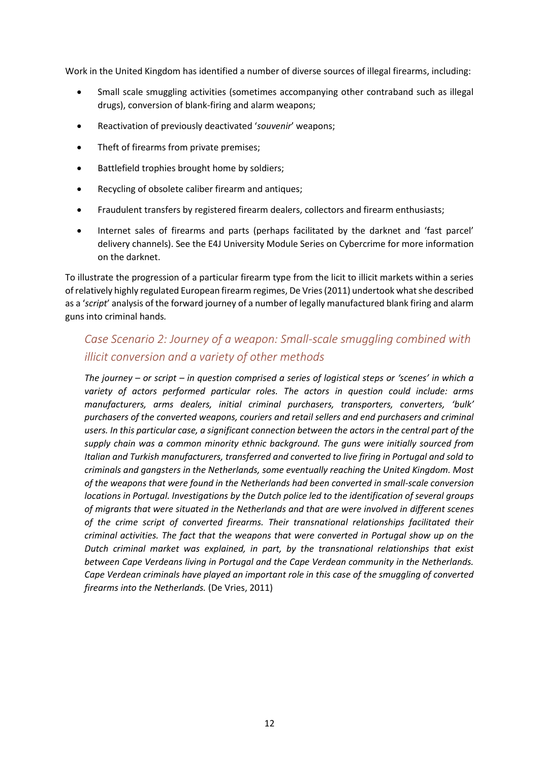Work in the United Kingdom has identified a number of diverse sources of illegal firearms, including:

- Small scale smuggling activities (sometimes accompanying other contraband such as illegal drugs), conversion of blank-firing and alarm weapons;
- Reactivation of previously deactivated '*souvenir*' weapons;
- Theft of firearms from private premises;
- Battlefield trophies brought home by soldiers;
- Recycling of obsolete caliber firearm and antiques;
- Fraudulent transfers by registered firearm dealers, collectors and firearm enthusiasts;
- Internet sales of firearms and parts (perhaps facilitated by the darknet and 'fast parcel' delivery channels). See the E4J University Module Series on Cybercrime for more information on the darknet.

To illustrate the progression of a particular firearm type from the licit to illicit markets within a series of relatively highly regulated European firearm regimes, De Vries (2011) undertook what she described as a '*script*' analysis of the forward journey of a number of legally manufactured blank firing and alarm guns into criminal hands*.* 

#### *Case Scenario 2: Journey of a weapon: Small-scale smuggling combined with illicit conversion and a variety of other methods*

*The journey – or script – in question comprised a series of logistical steps or 'scenes' in which a variety of actors performed particular roles. The actors in question could include: arms manufacturers, arms dealers, initial criminal purchasers, transporters, converters, 'bulk' purchasers of the converted weapons, couriers and retail sellers and end purchasers and criminal users. In this particular case, a significant connection between the actors in the central part of the supply chain was a common minority ethnic background. The guns were initially sourced from Italian and Turkish manufacturers, transferred and converted to live firing in Portugal and sold to criminals and gangsters in the Netherlands, some eventually reaching the United Kingdom. Most of the weapons that were found in the Netherlands had been converted in small-scale conversion locations in Portugal. Investigations by the Dutch police led to the identification of several groups of migrants that were situated in the Netherlands and that are were involved in different scenes of the crime script of converted firearms. Their transnational relationships facilitated their criminal activities. The fact that the weapons that were converted in Portugal show up on the Dutch criminal market was explained, in part, by the transnational relationships that exist between Cape Verdeans living in Portugal and the Cape Verdean community in the Netherlands. Cape Verdean criminals have played an important role in this case of the smuggling of converted firearms into the Netherlands.* (De Vries, 2011)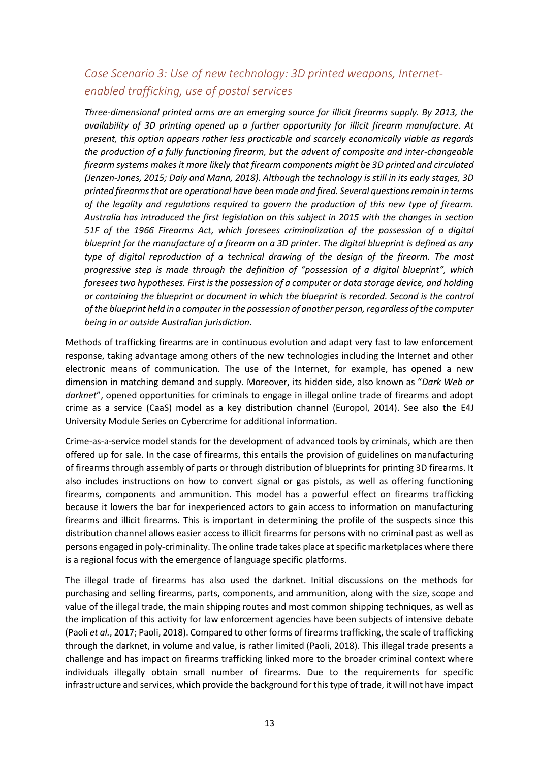#### *Case Scenario 3: Use of new technology: 3D printed weapons, Internetenabled trafficking, use of postal services*

*Three-dimensional printed arms are an emerging source for illicit firearms supply. By 2013, the availability of 3D printing opened up a further opportunity for illicit firearm manufacture. At present, this option appears rather less practicable and scarcely economically viable as regards the production of a fully functioning firearm, but the advent of composite and inter-changeable firearm systems makes it more likely that firearm components might be 3D printed and circulated (Jenzen-Jones, 2015; Daly and Mann, 2018). Although the technology is still in its early stages, 3D printed firearms that are operational have been made and fired. Several questions remain in terms of the legality and regulations required to govern the production of this new type of firearm. Australia has introduced the first legislation on this subject in 2015 with the changes in section 51F of the 1966 Firearms Act, which foresees criminalization of the possession of a digital blueprint for the manufacture of a firearm on a 3D printer. The digital blueprint is defined as any type of digital reproduction of a technical drawing of the design of the firearm. The most progressive step is made through the definition of "possession of a digital blueprint", which foresees two hypotheses. First is the possession of a computer or data storage device, and holding or containing the blueprint or document in which the blueprint is recorded. Second is the control of the blueprint held in a computer in the possession of another person, regardless of the computer being in or outside Australian jurisdiction.*

Methods of trafficking firearms are in continuous evolution and adapt very fast to law enforcement response, taking advantage among others of the new technologies including the Internet and other electronic means of communication. The use of the Internet, for example, has opened a new dimension in matching demand and supply. Moreover, its hidden side, also known as "*Dark Web or darknet*", opened opportunities for criminals to engage in illegal online trade of firearms and adopt crime as a service (CaaS) model as a key distribution channel (Europol, 2014). See also the E4J University Module Series on Cybercrime for additional information.

Crime-as-a-service model stands for the development of advanced tools by criminals, which are then offered up for sale. In the case of firearms, this entails the provision of guidelines on manufacturing of firearms through assembly of parts or through distribution of blueprints for printing 3D firearms. It also includes instructions on how to convert signal or gas pistols, as well as offering functioning firearms, components and ammunition. This model has a powerful effect on firearms trafficking because it lowers the bar for inexperienced actors to gain access to information on manufacturing firearms and illicit firearms. This is important in determining the profile of the suspects since this distribution channel allows easier access to illicit firearms for persons with no criminal past as well as persons engaged in poly-criminality. The online trade takes place at specific marketplaces where there is a regional focus with the emergence of language specific platforms.

The illegal trade of firearms has also used the darknet. Initial discussions on the methods for purchasing and selling firearms, parts, components, and ammunition, along with the size, scope and value of the illegal trade, the main shipping routes and most common shipping techniques, as well as the implication of this activity for law enforcement agencies have been subjects of intensive debate (Paoli *et al.*, 2017; Paoli, 2018). Compared to other forms of firearms trafficking, the scale of trafficking through the darknet, in volume and value, is rather limited (Paoli, 2018). This illegal trade presents a challenge and has impact on firearms trafficking linked more to the broader criminal context where individuals illegally obtain small number of firearms. Due to the requirements for specific infrastructure and services, which provide the background for this type of trade, it will not have impact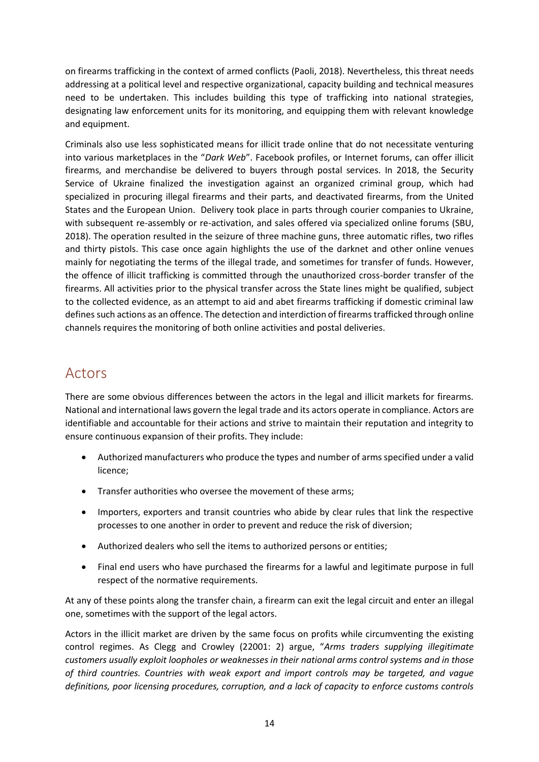on firearms trafficking in the context of armed conflicts (Paoli, 2018). Nevertheless, this threat needs addressing at a political level and respective organizational, capacity building and technical measures need to be undertaken. This includes building this type of trafficking into national strategies, designating law enforcement units for its monitoring, and equipping them with relevant knowledge and equipment.

Criminals also use less sophisticated means for illicit trade online that do not necessitate venturing into various marketplaces in the "*Dark Web*". Facebook profiles, or Internet forums, can offer illicit firearms, and merchandise be delivered to buyers through postal services. In 2018, the Security Service of Ukraine finalized the investigation against an organized criminal group, which had specialized in procuring illegal firearms and their parts, and deactivated firearms, from the United States and the European Union. Delivery took place in parts through courier companies to Ukraine, with subsequent re-assembly or re-activation, and sales offered via specialized online forums (SBU, 2018). The operation resulted in the seizure of three machine guns, three automatic rifles, two rifles and thirty pistols. This case once again highlights the use of the darknet and other online venues mainly for negotiating the terms of the illegal trade, and sometimes for transfer of funds. However, the offence of illicit trafficking is committed through the unauthorized cross-border transfer of the firearms. All activities prior to the physical transfer across the State lines might be qualified, subject to the collected evidence, as an attempt to aid and abet firearms trafficking if domestic criminal law defines such actions as an offence. The detection and interdiction of firearms trafficked through online channels requires the monitoring of both online activities and postal deliveries.

### <span id="page-17-0"></span>Actors

There are some obvious differences between the actors in the legal and illicit markets for firearms. National and international laws govern the legal trade and its actors operate in compliance. Actors are identifiable and accountable for their actions and strive to maintain their reputation and integrity to ensure continuous expansion of their profits. They include:

- Authorized manufacturers who produce the types and number of arms specified under a valid licence;
- Transfer authorities who oversee the movement of these arms;
- Importers, exporters and transit countries who abide by clear rules that link the respective processes to one another in order to prevent and reduce the risk of diversion;
- Authorized dealers who sell the items to authorized persons or entities;
- Final end users who have purchased the firearms for a lawful and legitimate purpose in full respect of the normative requirements.

At any of these points along the transfer chain, a firearm can exit the legal circuit and enter an illegal one, sometimes with the support of the legal actors.

Actors in the illicit market are driven by the same focus on profits while circumventing the existing control regimes. As Clegg and Crowley (22001: 2) argue, "*Arms traders supplying illegitimate customers usually exploit loopholes or weaknesses in their national arms control systems and in those of third countries. Countries with weak export and import controls may be targeted, and vague definitions, poor licensing procedures, corruption, and a lack of capacity to enforce customs controls*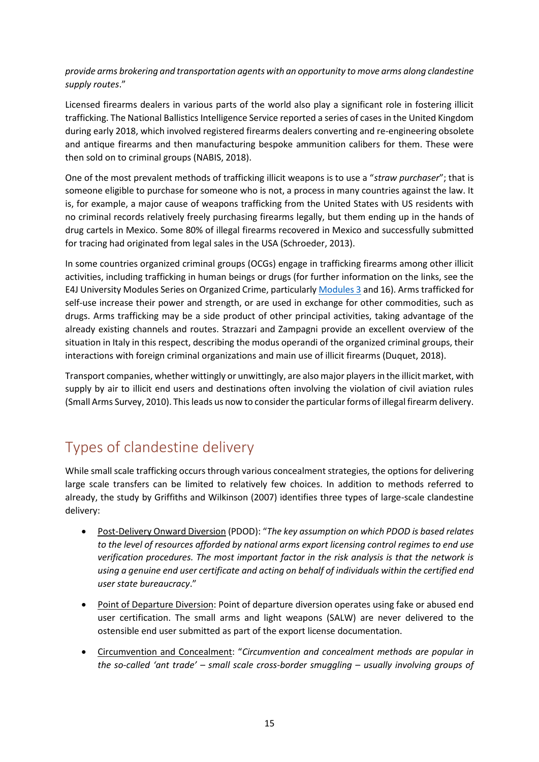*provide arms brokering and transportation agents with an opportunity to move arms along clandestine supply routes*."

Licensed firearms dealers in various parts of the world also play a significant role in fostering illicit trafficking. The National Ballistics Intelligence Service reported a series of cases in the United Kingdom during early 2018, which involved registered firearms dealers converting and re-engineering obsolete and antique firearms and then manufacturing bespoke ammunition calibers for them. These were then sold on to criminal groups (NABIS, 2018).

One of the most prevalent methods of trafficking illicit weapons is to use a "*straw purchaser*"; that is someone eligible to purchase for someone who is not, a process in many countries against the law. It is, for example, a major cause of weapons trafficking from the United States with US residents with no criminal records relatively freely purchasing firearms legally, but them ending up in the hands of drug cartels in Mexico. Some 80% of illegal firearms recovered in Mexico and successfully submitted for tracing had originated from legal sales in the USA (Schroeder, 2013).

In some countries organized criminal groups (OCGs) engage in trafficking firearms among other illicit activities, including trafficking in human beings or drugs (for further information on the links, see the E4J University Modules Series on Organized Crime, particularly [Modules 3](https://www.unodc.org/e4j/en/organized-crime/module-3/key-issues/firearms-trafficking.html) and 16). Arms trafficked for self-use increase their power and strength, or are used in exchange for other commodities, such as drugs. Arms trafficking may be a side product of other principal activities, taking advantage of the already existing channels and routes. Strazzari and Zampagni provide an excellent overview of the situation in Italy in this respect, describing the modus operandi of the organized criminal groups, their interactions with foreign criminal organizations and main use of illicit firearms (Duquet, 2018).

Transport companies, whether wittingly or unwittingly, are also major players in the illicit market, with supply by air to illicit end users and destinations often involving the violation of civil aviation rules (Small Arms Survey, 2010). This leads us now to consider the particular forms of illegal firearm delivery.

### <span id="page-18-0"></span>Types of clandestine delivery

While small scale trafficking occurs through various concealment strategies, the options for delivering large scale transfers can be limited to relatively few choices. In addition to methods referred to already, the study by Griffiths and Wilkinson (2007) identifies three types of large-scale clandestine delivery:

- Post-Delivery Onward Diversion (PDOD): "*The key assumption on which PDOD is based relates to the level of resources afforded by national arms export licensing control regimes to end use verification procedures. The most important factor in the risk analysis is that the network is using a genuine end user certificate and acting on behalf of individuals within the certified end user state bureaucracy*."
- Point of Departure Diversion: Point of departure diversion operates using fake or abused end user certification. The small arms and light weapons (SALW) are never delivered to the ostensible end user submitted as part of the export license documentation.
- Circumvention and Concealment: "*Circumvention and concealment methods are popular in the so-called 'ant trade' – small scale cross-border smuggling – usually involving groups of*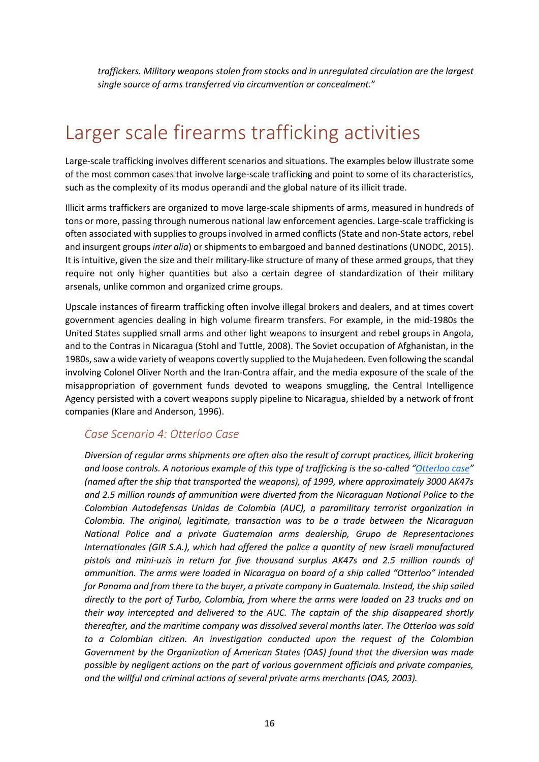*traffickers. Military weapons stolen from stocks and in unregulated circulation are the largest single source of arms transferred via circumvention or concealment.*"

## <span id="page-19-0"></span>Larger scale firearms trafficking activities

Large-scale trafficking involves different scenarios and situations. The examples below illustrate some of the most common cases that involve large-scale trafficking and point to some of its characteristics, such as the complexity of its modus operandi and the global nature of its illicit trade.

Illicit arms traffickers are organized to move large-scale shipments of arms, measured in hundreds of tons or more, passing through numerous national law enforcement agencies. Large-scale trafficking is often associated with supplies to groups involved in armed conflicts (State and non-State actors, rebel and insurgent groups *inter alia*) or shipments to embargoed and banned destinations (UNODC, 2015). It is intuitive, given the size and their military-like structure of many of these armed groups, that they require not only higher quantities but also a certain degree of standardization of their military arsenals, unlike common and organized crime groups.

Upscale instances of firearm trafficking often involve illegal brokers and dealers, and at times covert government agencies dealing in high volume firearm transfers. For example, in the mid-1980s the United States supplied small arms and other light weapons to insurgent and rebel groups in Angola, and to the Contras in Nicaragua (Stohl and Tuttle, 2008). The Soviet occupation of Afghanistan, in the 1980s, saw a wide variety of weapons covertly supplied to the Mujahedeen. Even following the scandal involving Colonel Oliver North and the Iran-Contra affair, and the media exposure of the scale of the misappropriation of government funds devoted to weapons smuggling, the Central Intelligence Agency persisted with a covert weapons supply pipeline to Nicaragua, shielded by a network of front companies (Klare and Anderson, 1996).

#### *Case Scenario 4: Otterloo Case*

*Diversion of regular arms shipments are often also the result of corrupt practices, illicit brokering and loose controls. A notorious example of this type of trafficking is the so-called "[Otterloo case](https://sherloc.unodc.org/cld/case-law-doc/corruptioncrimetype/col/ship_otterloo_-_october_2001.html?lng=en&tmpl=sherloc)" (named after the ship that transported the weapons), of 1999, where approximately 3000 AK47s and 2.5 million rounds of ammunition were diverted from the Nicaraguan National Police to the Colombian Autodefensas Unidas de Colombia (AUC), a paramilitary terrorist organization in Colombia. The original, legitimate, transaction was to be a trade between the Nicaraguan National Police and a private Guatemalan arms dealership, Grupo de Representaciones Internationales (GIR S.A.), which had offered the police a quantity of new Israeli manufactured pistols and mini-uzis in return for five thousand surplus AK47s and 2.5 million rounds of ammunition. The arms were loaded in Nicaragua on board of a ship called "Otterloo" intended for Panama and from there to the buyer, a private company in Guatemala. Instead, the ship sailed directly to the port of Turbo, Colombia, from where the arms were loaded on 23 trucks and on their way intercepted and delivered to the AUC. The captain of the ship disappeared shortly thereafter, and the maritime company was dissolved several months later. The Otterloo was sold to a Colombian citizen. An investigation conducted upon the request of the Colombian Government by the Organization of American States (OAS) found that the diversion was made possible by negligent actions on the part of various government officials and private companies, and the willful and criminal actions of several private arms merchants (OAS, 2003).*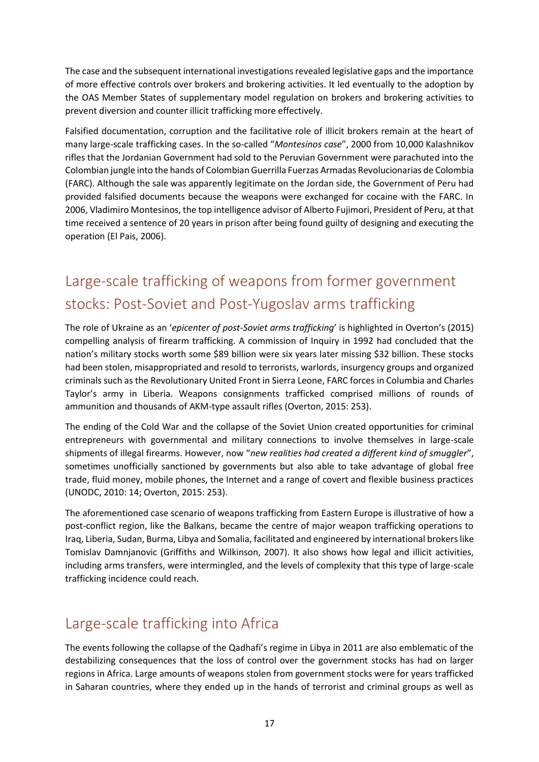The case and the subsequent international investigations revealed legislative gaps and the importance of more effective controls over brokers and brokering activities. It led eventually to the adoption by the OAS Member States of supplementary model regulation on brokers and brokering activities to prevent diversion and counter illicit trafficking more effectively.

Falsified documentation, corruption and the facilitative role of illicit brokers remain at the heart of many large-scale trafficking cases. In the so-called "*Montesinos case*", 2000 from 10,000 Kalashnikov rifles that the Jordanian Government had sold to the Peruvian Government were parachuted into the Colombian jungle into the hands of Colombian Guerrilla Fuerzas Armadas Revolucionarias de Colombia (FARC). Although the sale was apparently legitimate on the Jordan side, the Government of Peru had provided falsified documents because the weapons were exchanged for cocaine with the FARC. In 2006, Vladimiro Montesinos, the top intelligence advisor of Alberto Fujimori, President of Peru, at that time received a sentence of 20 years in prison after being found guilty of designing and executing the operation (El Pais, 2006).

### <span id="page-20-0"></span>Large-scale trafficking of weapons from former government stocks: Post-Soviet and Post-Yugoslav arms trafficking

The role of Ukraine as an '*epicenter of post-Soviet arms trafficking*' is highlighted in Overton's (2015) compelling analysis of firearm trafficking. A commission of Inquiry in 1992 had concluded that the nation's military stocks worth some \$89 billion were six years later missing \$32 billion. These stocks had been stolen, misappropriated and resold to terrorists, warlords, insurgency groups and organized criminals such as the Revolutionary United Front in Sierra Leone, FARC forces in Columbia and Charles Taylor's army in Liberia. Weapons consignments trafficked comprised millions of rounds of ammunition and thousands of AKM-type assault rifles (Overton, 2015: 253).

The ending of the Cold War and the collapse of the Soviet Union created opportunities for criminal entrepreneurs with governmental and military connections to involve themselves in large-scale shipments of illegal firearms. However, now "*new realities had created a different kind of smuggler*", sometimes unofficially sanctioned by governments but also able to take advantage of global free trade, fluid money, mobile phones, the Internet and a range of covert and flexible business practices (UNODC, 2010: 14; Overton, 2015: 253).

The aforementioned case scenario of weapons trafficking from Eastern Europe is illustrative of how a post-conflict region, like the Balkans, became the centre of major weapon trafficking operations to Iraq, Liberia, Sudan, Burma, Libya and Somalia, facilitated and engineered by international brokers like Tomislav Damnjanovic (Griffiths and Wilkinson, 2007). It also shows how legal and illicit activities, including arms transfers, were intermingled, and the levels of complexity that this type of large-scale trafficking incidence could reach.

### <span id="page-20-1"></span>Large-scale trafficking into Africa

The events following the collapse of the Qadhafi's regime in Libya in 2011 are also emblematic of the destabilizing consequences that the loss of control over the government stocks has had on larger regions in Africa. Large amounts of weapons stolen from government stocks were for years trafficked in Saharan countries, where they ended up in the hands of terrorist and criminal groups as well as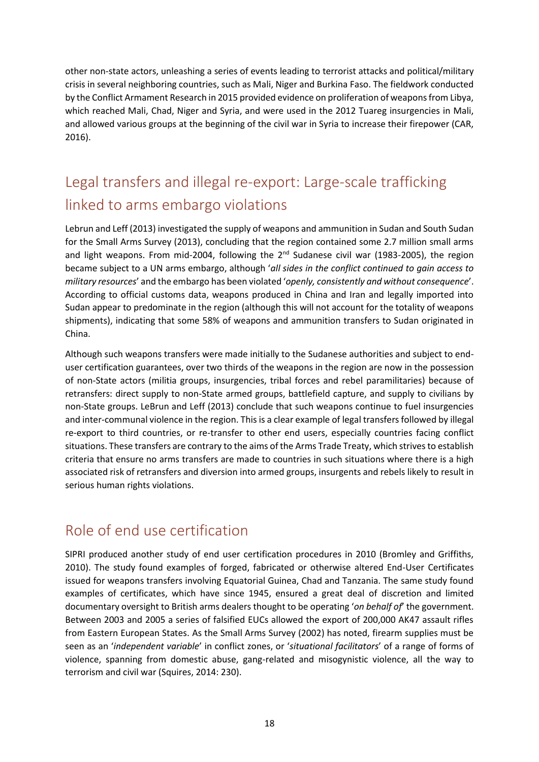other non-state actors, unleashing a series of events leading to terrorist attacks and political/military crisis in several neighboring countries, such as Mali, Niger and Burkina Faso. The fieldwork conducted by the Conflict Armament Research in 2015 provided evidence on proliferation of weapons from Libya, which reached Mali, Chad, Niger and Syria, and were used in the 2012 Tuareg insurgencies in Mali, and allowed various groups at the beginning of the civil war in Syria to increase their firepower (CAR, 2016).

### <span id="page-21-0"></span>Legal transfers and illegal re-export: Large-scale trafficking linked to arms embargo violations

Lebrun and Leff (2013) investigated the supply of weapons and ammunition in Sudan and South Sudan for the Small Arms Survey (2013), concluding that the region contained some 2.7 million small arms and light weapons. From mid-2004, following the  $2^{nd}$  Sudanese civil war (1983-2005), the region became subject to a UN arms embargo, although '*all sides in the conflict continued to gain access to military resources*' and the embargo has been violated '*openly, consistently and without consequence*'. According to official customs data, weapons produced in China and Iran and legally imported into Sudan appear to predominate in the region (although this will not account for the totality of weapons shipments), indicating that some 58% of weapons and ammunition transfers to Sudan originated in China.

Although such weapons transfers were made initially to the Sudanese authorities and subject to enduser certification guarantees, over two thirds of the weapons in the region are now in the possession of non-State actors (militia groups, insurgencies, tribal forces and rebel paramilitaries) because of retransfers: direct supply to non-State armed groups, battlefield capture, and supply to civilians by non-State groups. LeBrun and Leff (2013) conclude that such weapons continue to fuel insurgencies and inter-communal violence in the region. This is a clear example of legal transfers followed by illegal re-export to third countries, or re-transfer to other end users, especially countries facing conflict situations. These transfers are contrary to the aims of the Arms Trade Treaty, which strives to establish criteria that ensure no arms transfers are made to countries in such situations where there is a high associated risk of retransfers and diversion into armed groups, insurgents and rebels likely to result in serious human rights violations.

### <span id="page-21-1"></span>Role of end use certification

SIPRI produced another study of end user certification procedures in 2010 (Bromley and Griffiths, 2010). The study found examples of forged, fabricated or otherwise altered End-User Certificates issued for weapons transfers involving Equatorial Guinea, Chad and Tanzania. The same study found examples of certificates, which have since 1945, ensured a great deal of discretion and limited documentary oversight to British arms dealers thought to be operating '*on behalf of*' the government. Between 2003 and 2005 a series of falsified EUCs allowed the export of 200,000 AK47 assault rifles from Eastern European States. As the Small Arms Survey (2002) has noted, firearm supplies must be seen as an '*independent variable*' in conflict zones, or '*situational facilitators*' of a range of forms of violence, spanning from domestic abuse, gang-related and misogynistic violence, all the way to terrorism and civil war (Squires, 2014: 230).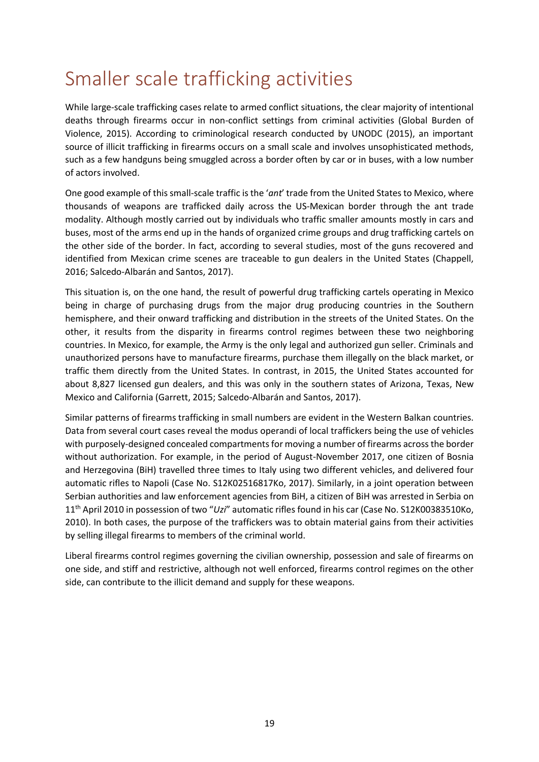## <span id="page-22-0"></span>Smaller scale trafficking activities

While large-scale trafficking cases relate to armed conflict situations, the clear majority of intentional deaths through firearms occur in non-conflict settings from criminal activities (Global Burden of Violence, 2015). According to criminological research conducted by UNODC (2015), an important source of illicit trafficking in firearms occurs on a small scale and involves unsophisticated methods, such as a few handguns being smuggled across a border often by car or in buses, with a low number of actors involved.

One good example of this small-scale traffic is the '*ant*' trade from the United States to Mexico, where thousands of weapons are trafficked daily across the US-Mexican border through the ant trade modality. Although mostly carried out by individuals who traffic smaller amounts mostly in cars and buses, most of the arms end up in the hands of organized crime groups and drug trafficking cartels on the other side of the border. In fact, according to several studies, most of the guns recovered and identified from Mexican crime scenes are traceable to gun dealers in the United States (Chappell, 2016; Salcedo-Albarán and Santos, 2017).

This situation is, on the one hand, the result of powerful drug trafficking cartels operating in Mexico being in charge of purchasing drugs from the major drug producing countries in the Southern hemisphere, and their onward trafficking and distribution in the streets of the United States. On the other, it results from the disparity in firearms control regimes between these two neighboring countries. In Mexico, for example, the Army is the only legal and authorized gun seller. Criminals and unauthorized persons have to manufacture firearms, purchase them illegally on the black market, or traffic them directly from the United States. In contrast, in 2015, the United States accounted for about 8,827 licensed gun dealers, and this was only in the southern states of Arizona, Texas, New Mexico and California (Garrett, 2015; Salcedo-Albarán and Santos, 2017).

Similar patterns of firearms trafficking in small numbers are evident in the Western Balkan countries. Data from several court cases reveal the modus operandi of local traffickers being the use of vehicles with purposely-designed concealed compartments for moving a number of firearms across the border without authorization. For example, in the period of August-November 2017, one citizen of Bosnia and Herzegovina (BiH) travelled three times to Italy using two different vehicles, and delivered four automatic rifles to Napoli (Case No. S12K02516817Ko, 2017). Similarly, in a joint operation between Serbian authorities and law enforcement agencies from BiH, a citizen of BiH was arrested in Serbia on 11th April 2010 in possession of two "*Uzi*" automatic rifles found in his car (Case No. S12K00383510Ko, 2010). In both cases, the purpose of the traffickers was to obtain material gains from their activities by selling illegal firearms to members of the criminal world.

Liberal firearms control regimes governing the civilian ownership, possession and sale of firearms on one side, and stiff and restrictive, although not well enforced, firearms control regimes on the other side, can contribute to the illicit demand and supply for these weapons.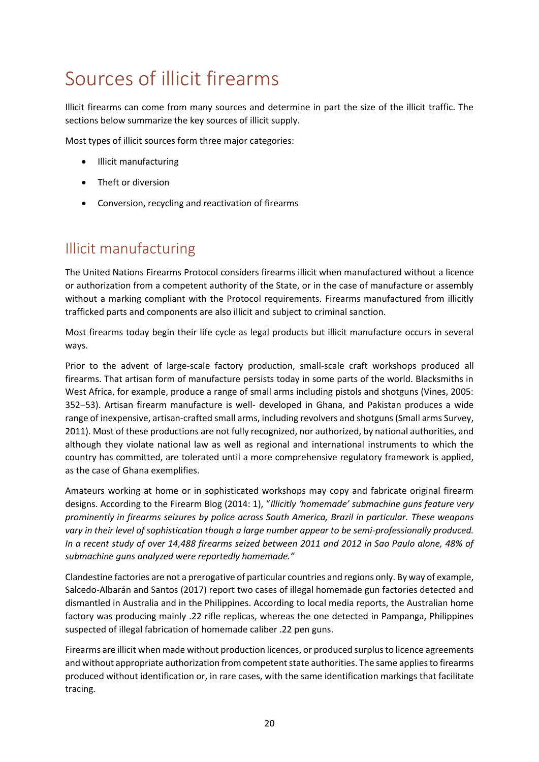## <span id="page-23-0"></span>Sources of illicit firearms

Illicit firearms can come from many sources and determine in part the size of the illicit traffic. The sections below summarize the key sources of illicit supply.

Most types of illicit sources form three major categories:

- Illicit manufacturing
- Theft or diversion
- Conversion, recycling and reactivation of firearms

### <span id="page-23-1"></span>Illicit manufacturing

The United Nations Firearms Protocol considers firearms illicit when manufactured without a licence or authorization from a competent authority of the State, or in the case of manufacture or assembly without a marking compliant with the Protocol requirements. Firearms manufactured from illicitly trafficked parts and components are also illicit and subject to criminal sanction.

Most firearms today begin their life cycle as legal products but illicit manufacture occurs in several ways.

Prior to the advent of large-scale factory production, small-scale craft workshops produced all firearms. That artisan form of manufacture persists today in some parts of the world. Blacksmiths in West Africa, for example, produce a range of small arms including pistols and shotguns (Vines, 2005: 352–53). Artisan firearm manufacture is well- developed in Ghana, and Pakistan produces a wide range of inexpensive, artisan-crafted small arms, including revolvers and shotguns (Small arms Survey, 2011). Most of these productions are not fully recognized, nor authorized, by national authorities, and although they violate national law as well as regional and international instruments to which the country has committed, are tolerated until a more comprehensive regulatory framework is applied, as the case of Ghana exemplifies.

Amateurs working at home or in sophisticated workshops may copy and fabricate original firearm designs. According to the Firearm Blog (2014: 1), "*Illicitly 'homemade' submachine guns feature very prominently in firearms seizures by police across South America, Brazil in particular. These weapons vary in their level of sophistication though a large number appear to be semi-professionally produced. In a recent study of over 14,488 firearms seized between 2011 and 2012 in Sao Paulo alone, 48% of submachine guns analyzed were reportedly homemade."*

Clandestine factories are not a prerogative of particular countries and regions only. By way of example, Salcedo-Albarán and Santos (2017) report two cases of illegal homemade gun factories detected and dismantled in Australia and in the Philippines. According to local media reports, the Australian home factory was producing mainly .22 rifle replicas, whereas the one detected in Pampanga, Philippines suspected of illegal fabrication of homemade caliber .22 pen guns.

Firearms are illicit when made without production licences, or produced surplus to licence agreements and without appropriate authorization from competent state authorities. The same applies to firearms produced without identification or, in rare cases, with the same identification markings that facilitate tracing.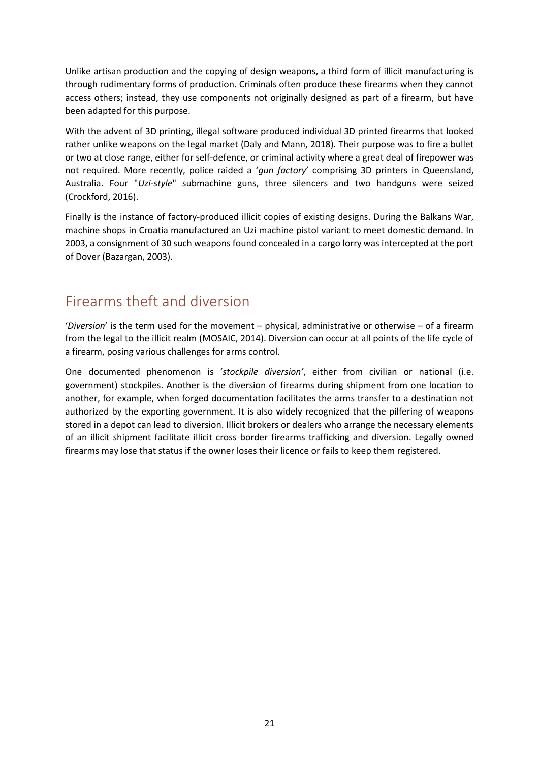Unlike artisan production and the copying of design weapons, a third form of illicit manufacturing is through rudimentary forms of production. Criminals often produce these firearms when they cannot access others; instead, they use components not originally designed as part of a firearm, but have been adapted for this purpose.

With the advent of 3D printing, illegal software produced individual 3D printed firearms that looked rather unlike weapons on the legal market (Daly and Mann, 2018). Their purpose was to fire a bullet or two at close range, either for self-defence, or criminal activity where a great deal of firepower was not required. More recently, police raided a '*gun factory*' comprising 3D printers in Queensland, Australia. Four "*Uzi-style*" submachine guns, three silencers and two handguns were seized (Crockford, 2016).

Finally is the instance of factory-produced illicit copies of existing designs. During the Balkans War, machine shops in Croatia manufactured an Uzi machine pistol variant to meet domestic demand. In 2003, a consignment of 30 such weapons found concealed in a cargo lorry was intercepted at the port of Dover (Bazargan, 2003).

### <span id="page-24-0"></span>Firearms theft and diversion

'*Diversion*' is the term used for the movement – physical, administrative or otherwise – of a firearm from the legal to the illicit realm (MOSAIC, 2014). Diversion can occur at all points of the life cycle of a firearm, posing various challenges for arms control.

One documented phenomenon is '*stockpile diversion'*, either from civilian or national (i.e. government) stockpiles. Another is the diversion of firearms during shipment from one location to another, for example, when forged documentation facilitates the arms transfer to a destination not authorized by the exporting government. It is also widely recognized that the pilfering of weapons stored in a depot can lead to diversion. Illicit brokers or dealers who arrange the necessary elements of an illicit shipment facilitate illicit cross border firearms trafficking and diversion. Legally owned firearms may lose that status if the owner loses their licence or fails to keep them registered.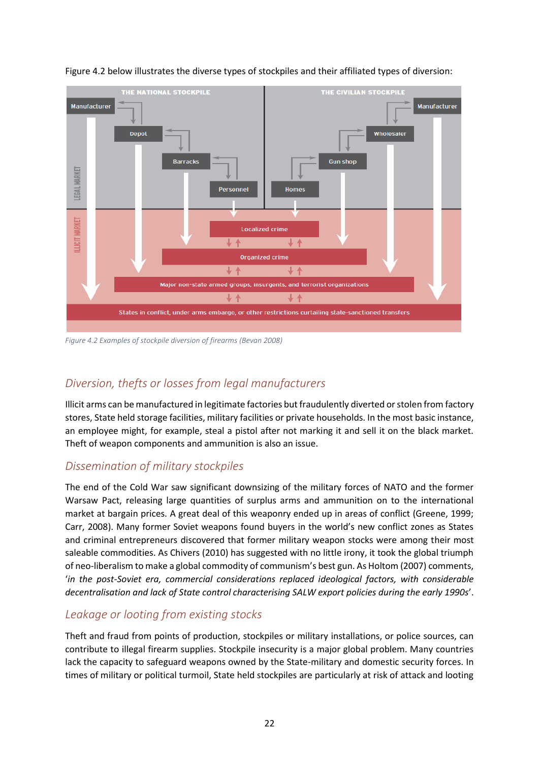

#### Figure 4.2 below illustrates the diverse types of stockpiles and their affiliated types of diversion:

*Figure 4.2 Examples of stockpile diversion of firearms (Bevan 2008)*

#### *Diversion, thefts or losses from legal manufacturers*

Illicit arms can be manufactured in legitimate factories but fraudulently diverted or stolen from factory stores, State held storage facilities, military facilities or private households. In the most basic instance, an employee might, for example, steal a pistol after not marking it and sell it on the black market. Theft of weapon components and ammunition is also an issue.

#### *Dissemination of military stockpiles*

The end of the Cold War saw significant downsizing of the military forces of NATO and the former Warsaw Pact, releasing large quantities of surplus arms and ammunition on to the international market at bargain prices. A great deal of this weaponry ended up in areas of conflict (Greene, 1999; Carr, 2008). Many former Soviet weapons found buyers in the world's new conflict zones as States and criminal entrepreneurs discovered that former military weapon stocks were among their most saleable commodities. As Chivers (2010) has suggested with no little irony, it took the global triumph of neo-liberalism to make a global commodity of communism's best gun. As Holtom (2007) comments, '*in the post-Soviet era, commercial considerations replaced ideological factors, with considerable decentralisation and lack of State control characterising SALW export policies during the early 1990s*'.

#### *Leakage or looting from existing stocks*

Theft and fraud from points of production, stockpiles or military installations, or police sources, can contribute to illegal firearm supplies. Stockpile insecurity is a major global problem. Many countries lack the capacity to safeguard weapons owned by the State-military and domestic security forces. In times of military or political turmoil, State held stockpiles are particularly at risk of attack and looting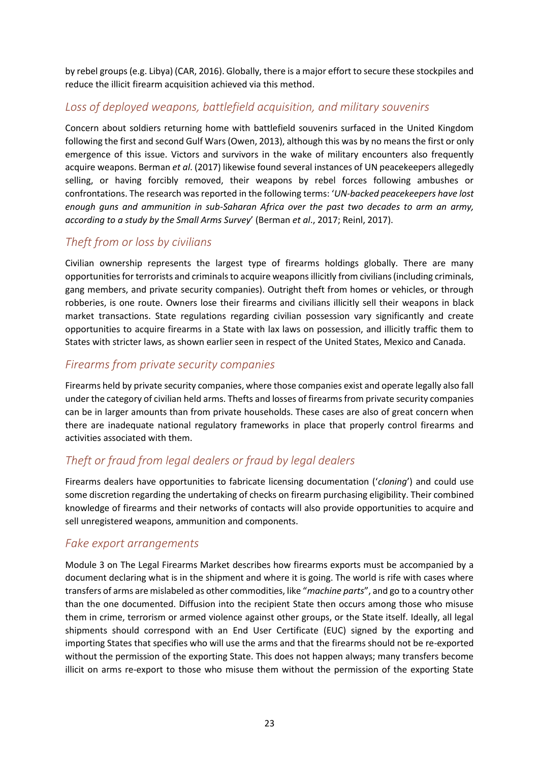by rebel groups (e.g. Libya) (CAR, 2016). Globally, there is a major effort to secure these stockpiles and reduce the illicit firearm acquisition achieved via this method.

#### *Loss of deployed weapons, battlefield acquisition, and military souvenirs*

Concern about soldiers returning home with battlefield souvenirs surfaced in the United Kingdom following the first and second Gulf Wars (Owen, 2013), although this was by no means the first or only emergence of this issue. Victors and survivors in the wake of military encounters also frequently acquire weapons. Berman *et al*. (2017) likewise found several instances of UN peacekeepers allegedly selling, or having forcibly removed, their weapons by rebel forces following ambushes or confrontations. The research was reported in the following terms: '*UN-backed peacekeepers have lost enough guns and ammunition in sub-Saharan Africa over the past two decades to arm an army, according to a study by the Small Arms Survey*' (Berman *et al*., 2017; Reinl, 2017).

#### *Theft from or loss by civilians*

Civilian ownership represents the largest type of firearms holdings globally. There are many opportunities for terrorists and criminals to acquire weapons illicitly from civilians (including criminals, gang members, and private security companies). Outright theft from homes or vehicles, or through robberies, is one route. Owners lose their firearms and civilians illicitly sell their weapons in black market transactions. State regulations regarding civilian possession vary significantly and create opportunities to acquire firearms in a State with lax laws on possession, and illicitly traffic them to States with stricter laws, as shown earlier seen in respect of the United States, Mexico and Canada.

#### *Firearms from private security companies*

Firearms held by private security companies, where those companies exist and operate legally also fall under the category of civilian held arms. Thefts and losses of firearms from private security companies can be in larger amounts than from private households. These cases are also of great concern when there are inadequate national regulatory frameworks in place that properly control firearms and activities associated with them.

#### *Theft or fraud from legal dealers or fraud by legal dealers*

Firearms dealers have opportunities to fabricate licensing documentation ('*cloning*') and could use some discretion regarding the undertaking of checks on firearm purchasing eligibility. Their combined knowledge of firearms and their networks of contacts will also provide opportunities to acquire and sell unregistered weapons, ammunition and components.

#### *Fake export arrangements*

Module 3 on The Legal Firearms Market describes how firearms exports must be accompanied by a document declaring what is in the shipment and where it is going. The world is rife with cases where transfers of arms are mislabeled as other commodities, like "*machine parts*", and go to a country other than the one documented. Diffusion into the recipient State then occurs among those who misuse them in crime, terrorism or armed violence against other groups, or the State itself. Ideally, all legal shipments should correspond with an End User Certificate (EUC) signed by the exporting and importing States that specifies who will use the arms and that the firearms should not be re-exported without the permission of the exporting State. This does not happen always; many transfers become illicit on arms re-export to those who misuse them without the permission of the exporting State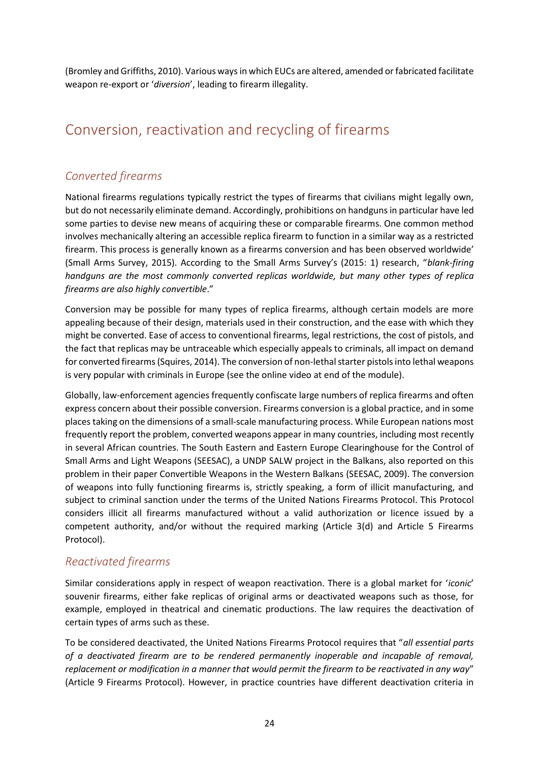(Bromley and Griffiths, 2010). Various ways in which EUCs are altered, amended or fabricated facilitate weapon re-export or '*diversion*', leading to firearm illegality.

### <span id="page-27-0"></span>Conversion, reactivation and recycling of firearms

#### *Converted firearms*

National firearms regulations typically restrict the types of firearms that civilians might legally own, but do not necessarily eliminate demand. Accordingly, prohibitions on handguns in particular have led some parties to devise new means of acquiring these or comparable firearms. One common method involves mechanically altering an accessible replica firearm to function in a similar way as a restricted firearm. This process is generally known as a firearms conversion and has been observed worldwide' (Small Arms Survey, 2015). According to the Small Arms Survey's (2015: 1) research, "*blank-firing handguns are the most commonly converted replicas worldwide, but many other types of replica firearms are also highly convertible*."

Conversion may be possible for many types of replica firearms, although certain models are more appealing because of their design, materials used in their construction, and the ease with which they might be converted. Ease of access to conventional firearms, legal restrictions, the cost of pistols, and the fact that replicas may be untraceable which especially appeals to criminals, all impact on demand for converted firearms (Squires, 2014). The conversion of non-lethal starter pistols into lethal weapons is very popular with criminals in Europe (see the online video at end of the module).

Globally, law-enforcement agencies frequently confiscate large numbers of replica firearms and often express concern about their possible conversion. Firearms conversion is a global practice, and in some places taking on the dimensions of a small-scale manufacturing process. While European nations most frequently report the problem, converted weapons appear in many countries, including most recently in several African countries. The South Eastern and Eastern Europe Clearinghouse for the Control of Small Arms and Light Weapons (SEESAC), a UNDP SALW project in the Balkans, also reported on this problem in their paper Convertible Weapons in the Western Balkans (SEESAC, 2009). The conversion of weapons into fully functioning firearms is, strictly speaking, a form of illicit manufacturing, and subject to criminal sanction under the terms of the United Nations Firearms Protocol. This Protocol considers illicit all firearms manufactured without a valid authorization or licence issued by a competent authority, and/or without the required marking (Article 3(d) and Article 5 Firearms Protocol).

#### *Reactivated firearms*

Similar considerations apply in respect of weapon reactivation. There is a global market for '*iconic*' souvenir firearms, either fake replicas of original arms or deactivated weapons such as those, for example, employed in theatrical and cinematic productions. The law requires the deactivation of certain types of arms such as these.

To be considered deactivated, the United Nations Firearms Protocol requires that "*all essential parts of a deactivated firearm are to be rendered permanently inoperable and incapable of removal, replacement or modification in a manner that would permit the firearm to be reactivated in any way*" (Article 9 Firearms Protocol). However, in practice countries have different deactivation criteria in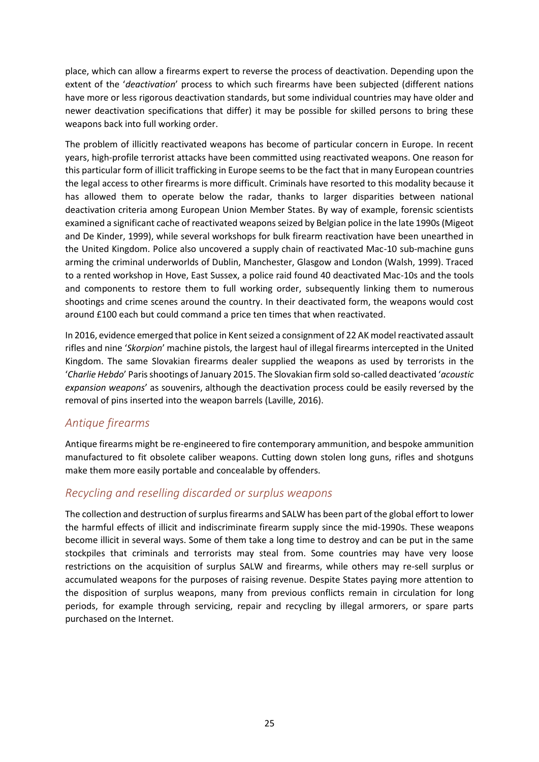place, which can allow a firearms expert to reverse the process of deactivation. Depending upon the extent of the '*deactivation*' process to which such firearms have been subjected (different nations have more or less rigorous deactivation standards, but some individual countries may have older and newer deactivation specifications that differ) it may be possible for skilled persons to bring these weapons back into full working order.

The problem of illicitly reactivated weapons has become of particular concern in Europe. In recent years, high-profile terrorist attacks have been committed using reactivated weapons. One reason for this particular form of illicit trafficking in Europe seems to be the fact that in many European countries the legal access to other firearms is more difficult. Criminals have resorted to this modality because it has allowed them to operate below the radar, thanks to larger disparities between national deactivation criteria among European Union Member States. By way of example, forensic scientists examined a significant cache of reactivated weapons seized by Belgian police in the late 1990s (Migeot and De Kinder, 1999), while several workshops for bulk firearm reactivation have been unearthed in the United Kingdom. Police also uncovered a supply chain of reactivated Mac-10 sub-machine guns arming the criminal underworlds of Dublin, Manchester, Glasgow and London (Walsh, 1999). Traced to a rented workshop in Hove, East Sussex, a police raid found 40 deactivated Mac-10s and the tools and components to restore them to full working order, subsequently linking them to numerous shootings and crime scenes around the country. In their deactivated form, the weapons would cost around £100 each but could command a price ten times that when reactivated.

In 2016, evidence emerged that police in Kent seized a consignment of 22 AK model reactivated assault rifles and nine '*Skorpion*' machine pistols, the largest haul of illegal firearms intercepted in the United Kingdom. The same Slovakian firearms dealer supplied the weapons as used by terrorists in the '*Charlie Hebdo*' Paris shootings of January 2015. The Slovakian firm sold so-called deactivated '*acoustic expansion weapons*' as souvenirs, although the deactivation process could be easily reversed by the removal of pins inserted into the weapon barrels (Laville, 2016).

#### *Antique firearms*

Antique firearms might be re-engineered to fire contemporary ammunition, and bespoke ammunition manufactured to fit obsolete caliber weapons. Cutting down stolen long guns, rifles and shotguns make them more easily portable and concealable by offenders.

#### *Recycling and reselling discarded or surplus weapons*

The collection and destruction of surplus firearms and SALW has been part of the global effort to lower the harmful effects of illicit and indiscriminate firearm supply since the mid-1990s. These weapons become illicit in several ways. Some of them take a long time to destroy and can be put in the same stockpiles that criminals and terrorists may steal from. Some countries may have very loose restrictions on the acquisition of surplus SALW and firearms, while others may re-sell surplus or accumulated weapons for the purposes of raising revenue. Despite States paying more attention to the disposition of surplus weapons, many from previous conflicts remain in circulation for long periods, for example through servicing, repair and recycling by illegal armorers, or spare parts purchased on the Internet.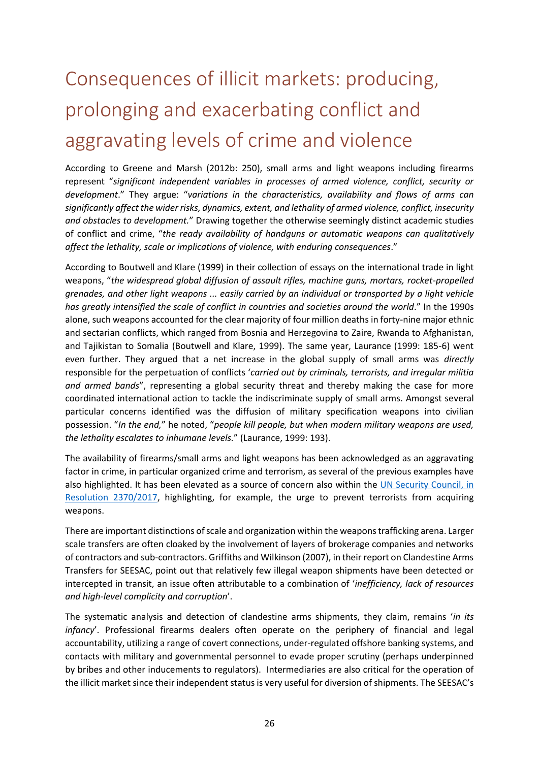# <span id="page-29-0"></span>Consequences of illicit markets: producing, prolonging and exacerbating conflict and aggravating levels of crime and violence

According to Greene and Marsh (2012b: 250), small arms and light weapons including firearms represent "*significant independent variables in processes of armed violence, conflict, security or development*." They argue: "*variations in the characteristics, availability and flows of arms can significantly affect the wider risks, dynamics, extent, and lethality of armed violence, conflict, insecurity and obstacles to development.*" Drawing together the otherwise seemingly distinct academic studies of conflict and crime, "*the ready availability of handguns or automatic weapons can qualitatively affect the lethality, scale or implications of violence, with enduring consequences*."

According to Boutwell and Klare (1999) in their collection of essays on the international trade in light weapons, "*the widespread global diffusion of assault rifles, machine guns, mortars, rocket-propelled grenades, and other light weapons ... easily carried by an individual or transported by a light vehicle has greatly intensified the scale of conflict in countries and societies around the world*." In the 1990s alone, such weapons accounted for the clear majority of four million deaths in forty-nine major ethnic and sectarian conflicts, which ranged from Bosnia and Herzegovina to Zaire, Rwanda to Afghanistan, and Tajikistan to Somalia (Boutwell and Klare, 1999). The same year, Laurance (1999: 185-6) went even further. They argued that a net increase in the global supply of small arms was *directly* responsible for the perpetuation of conflicts '*carried out by criminals, terrorists, and irregular militia and armed bands*", representing a global security threat and thereby making the case for more coordinated international action to tackle the indiscriminate supply of small arms. Amongst several particular concerns identified was the diffusion of military specification weapons into civilian possession. "*In the end,*" he noted, "*people kill people, but when modern military weapons are used, the lethality escalates to inhumane levels.*" (Laurance, 1999: 193).

The availability of firearms/small arms and light weapons has been acknowledged as an aggravating factor in crime, in particular organized crime and terrorism, as several of the previous examples have also highlighted. It has been elevated as a source of concern also within the [UN Security Council, in](https://www.securitycouncilreport.org/atf/cf/%7B65BFCF9B-6D27-4E9C-8CD3-CF6E4FF96FF9%7D/s_res_2370.pdf)  [Resolution 2370/2017,](https://www.securitycouncilreport.org/atf/cf/%7B65BFCF9B-6D27-4E9C-8CD3-CF6E4FF96FF9%7D/s_res_2370.pdf) highlighting, for example, the urge to prevent terrorists from acquiring weapons.

There are important distinctions of scale and organization within the weapons trafficking arena. Larger scale transfers are often cloaked by the involvement of layers of brokerage companies and networks of contractors and sub-contractors. Griffiths and Wilkinson (2007), in their report on Clandestine Arms Transfers for SEESAC, point out that relatively few illegal weapon shipments have been detected or intercepted in transit, an issue often attributable to a combination of '*inefficiency, lack of resources and high-level complicity and corruption*'.

The systematic analysis and detection of clandestine arms shipments, they claim, remains '*in its infancy*'. Professional firearms dealers often operate on the periphery of financial and legal accountability, utilizing a range of covert connections, under-regulated offshore banking systems, and contacts with military and governmental personnel to evade proper scrutiny (perhaps underpinned by bribes and other inducements to regulators). Intermediaries are also critical for the operation of the illicit market since their independent status is very useful for diversion of shipments. The SEESAC's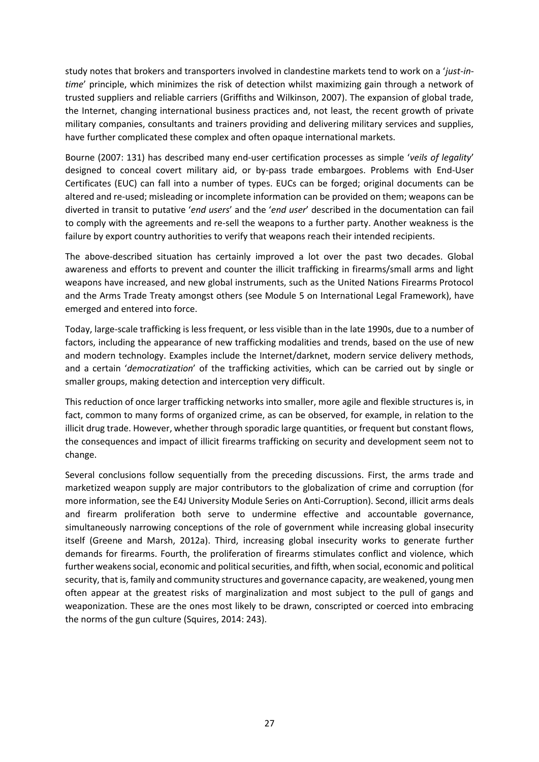study notes that brokers and transporters involved in clandestine markets tend to work on a '*just-intime*' principle, which minimizes the risk of detection whilst maximizing gain through a network of trusted suppliers and reliable carriers (Griffiths and Wilkinson, 2007). The expansion of global trade, the Internet, changing international business practices and, not least, the recent growth of private military companies, consultants and trainers providing and delivering military services and supplies, have further complicated these complex and often opaque international markets.

Bourne (2007: 131) has described many end-user certification processes as simple '*veils of legality*' designed to conceal covert military aid, or by-pass trade embargoes. Problems with End-User Certificates (EUC) can fall into a number of types. EUCs can be forged; original documents can be altered and re-used; misleading or incomplete information can be provided on them; weapons can be diverted in transit to putative '*end users*' and the '*end user*' described in the documentation can fail to comply with the agreements and re-sell the weapons to a further party. Another weakness is the failure by export country authorities to verify that weapons reach their intended recipients.

The above-described situation has certainly improved a lot over the past two decades. Global awareness and efforts to prevent and counter the illicit trafficking in firearms/small arms and light weapons have increased, and new global instruments, such as the United Nations Firearms Protocol and the Arms Trade Treaty amongst others (see Module 5 on International Legal Framework), have emerged and entered into force.

Today, large-scale trafficking is less frequent, or less visible than in the late 1990s, due to a number of factors, including the appearance of new trafficking modalities and trends, based on the use of new and modern technology. Examples include the Internet/darknet, modern service delivery methods, and a certain '*democratization*' of the trafficking activities, which can be carried out by single or smaller groups, making detection and interception very difficult.

This reduction of once larger trafficking networks into smaller, more agile and flexible structures is, in fact, common to many forms of organized crime, as can be observed, for example, in relation to the illicit drug trade. However, whether through sporadic large quantities, or frequent but constant flows, the consequences and impact of illicit firearms trafficking on security and development seem not to change.

Several conclusions follow sequentially from the preceding discussions. First, the arms trade and marketized weapon supply are major contributors to the globalization of crime and corruption (for more information, see the E4J University Module Series on Anti-Corruption). Second, illicit arms deals and firearm proliferation both serve to undermine effective and accountable governance, simultaneously narrowing conceptions of the role of government while increasing global insecurity itself (Greene and Marsh, 2012a). Third, increasing global insecurity works to generate further demands for firearms. Fourth, the proliferation of firearms stimulates conflict and violence, which further weakens social, economic and political securities, and fifth, when social, economic and political security, that is, family and community structures and governance capacity, are weakened, young men often appear at the greatest risks of marginalization and most subject to the pull of gangs and weaponization. These are the ones most likely to be drawn, conscripted or coerced into embracing the norms of the gun culture (Squires, 2014: 243).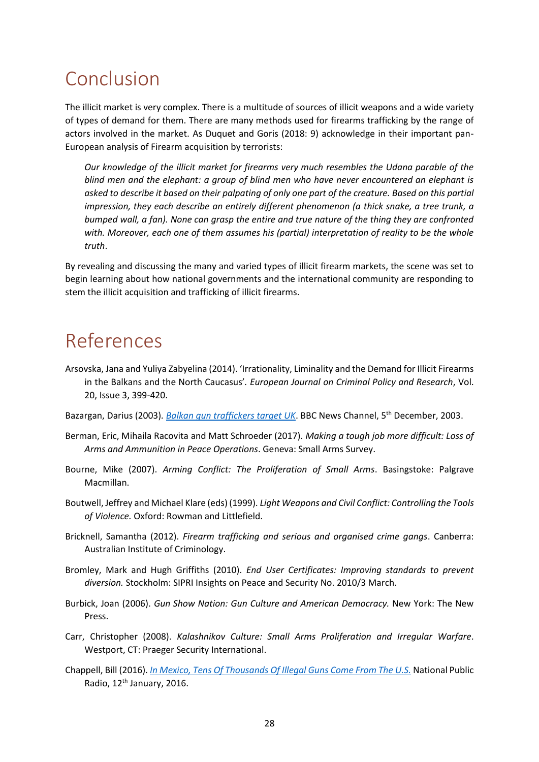## <span id="page-31-0"></span>Conclusion

The illicit market is very complex. There is a multitude of sources of illicit weapons and a wide variety of types of demand for them. There are many methods used for firearms trafficking by the range of actors involved in the market. As Duquet and Goris (2018: 9) acknowledge in their important pan-European analysis of Firearm acquisition by terrorists:

*Our knowledge of the illicit market for firearms very much resembles the Udana parable of the blind men and the elephant: a group of blind men who have never encountered an elephant is asked to describe it based on their palpating of only one part of the creature. Based on this partial impression, they each describe an entirely different phenomenon (a thick snake, a tree trunk, a bumped wall, a fan). None can grasp the entire and true nature of the thing they are confronted with. Moreover, each one of them assumes his (partial) interpretation of reality to be the whole truth*.

By revealing and discussing the many and varied types of illicit firearm markets, the scene was set to begin learning about how national governments and the international community are responding to stem the illicit acquisition and trafficking of illicit firearms.

## <span id="page-31-1"></span>References

- Arsovska, Jana and Yuliya Zabyelina (2014). 'Irrationality, Liminality and the Demand for Illicit Firearms in the Balkans and the North Caucasus'*. European Journal on Criminal Policy and Research*, Vol. 20, Issue 3, 399-420.
- Bazargan, Darius (2003)*[. Balkan gun traffickers target UK](http://news.bbc.co.uk/2/hi/programmes/correspondent/3256318.stm)*. BBC News Channel, 5th December, 2003.
- Berman, Eric, Mihaila Racovita and Matt Schroeder (2017). *Making a tough job more difficult: Loss of Arms and Ammunition in Peace Operations*. Geneva: Small Arms Survey.
- Bourne, Mike (2007). *Arming Conflict: The Proliferation of Small Arms*. Basingstoke: Palgrave Macmillan.
- Boutwell, Jeffrey and Michael Klare (eds) (1999). *Light Weapons and Civil Conflict: Controlling the Tools of Violence.* Oxford: Rowman and Littlefield.
- Bricknell, Samantha (2012). *Firearm trafficking and serious and organised crime gangs*. Canberra: Australian Institute of Criminology.
- Bromley, Mark and Hugh Griffiths (2010). *End User Certificates: Improving standards to prevent diversion.* Stockholm: SIPRI Insights on Peace and Security No. 2010/3 March.
- Burbick, Joan (2006). *Gun Show Nation: Gun Culture and American Democracy.* New York: The New Press.
- Carr, Christopher (2008). *Kalashnikov Culture: Small Arms Proliferation and Irregular Warfare*. Westport, CT: Praeger Security International.
- Chappell, Bill (2016). *[In Mexico, Tens Of Thousands Of Illegal Guns Come From The U.S.](https://www.npr.org/sections/thetwo-way/2016/01/12/462781469/in-mexico-tens-of-thousands-of-illegal-guns-come-from-the-u-s?t=1550139305509)* National Public Radio, 12<sup>th</sup> January, 2016.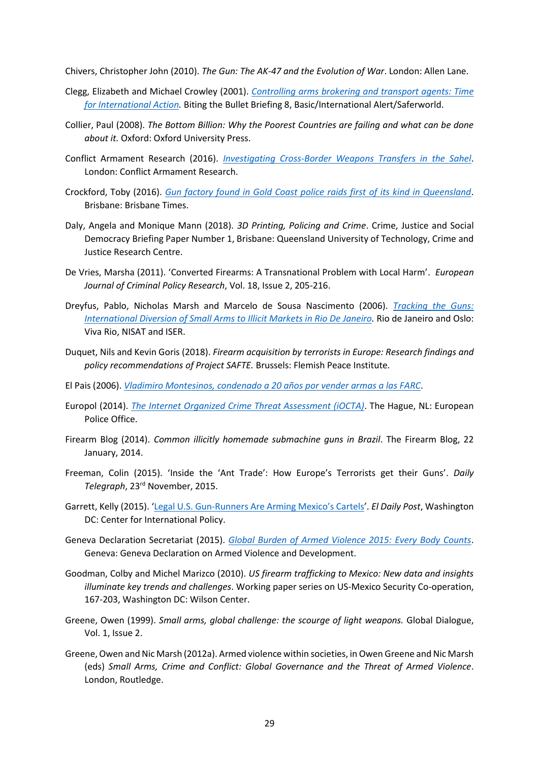Chivers, Christopher John (2010). *The Gun: The AK-47 and the Evolution of War*. London: Allen Lane.

- Clegg, Elizabeth and Michael Crowley (2001). *[Controlling arms brokering and transport agents: Time](https://www.files.ethz.ch/isn/124852/btb_brf8.pdf)  [for International Action.](https://www.files.ethz.ch/isn/124852/btb_brf8.pdf)* Biting the Bullet Briefing 8, Basic/International Alert/Saferworld.
- Collier, Paul (2008). *The Bottom Billion: Why the Poorest Countries are failing and what can be done about it.* Oxford: Oxford University Press.
- Conflict Armament Research (2016). *[Investigating Cross-Border Weapons Transfers in the Sahel](file:///C:/Users/dimov/Downloads/Investigating-Libya-Cross-border-Weapon-Transfers-to-the-Sahel-English.pdf)*. London: Conflict Armament Research.
- Crockford, Toby (2016). *[Gun factory found in Gold Coast police raids first of its kind in Queensland](https://www.brisbanetimes.com.au/national/queensland/gun-factory-found-in-gold-coast-police-raids-first-of-its-kind-in-queensland-20161123-gsvwf9.html)*. Brisbane: Brisbane Times.
- Daly, Angela and Monique Mann (2018). *3D Printing, Policing and Crime*. Crime, Justice and Social Democracy Briefing Paper Number 1, Brisbane: Queensland University of Technology, Crime and Justice Research Centre.
- De Vries, Marsha (2011). 'Converted Firearms: A Transnational Problem with Local Harm'. *European Journal of Criminal Policy Research*, Vol. 18, Issue 2, 205-216.
- Dreyfus, Pablo, Nicholas Marsh and Marcelo de Sousa Nascimento (2006). *[Tracking the Guns:](https://www.prio.org/utility/DownloadFile.ashx?id=641&type=publicationfile)  [International Diversion of Small Arms to Illicit Markets in Rio De Janeiro.](https://www.prio.org/utility/DownloadFile.ashx?id=641&type=publicationfile)* Rio de Janeiro and Oslo: Viva Rio, NISAT and ISER.
- Duquet, Nils and Kevin Goris (2018). *Firearm acquisition by terrorists in Europe: Research findings and policy recommendations of Project SAFTE.* Brussels: Flemish Peace Institute*.*
- El Pais (2006). *[Vladimiro Montesinos, condenado a 20 años por vender armas a las FARC](https://elpais.com/internacional/2006/09/22/actualidad/1158876008_850215.html)*.
- Europol (2014). *[The Internet Organized Crime Threat Assessment \(iOCTA\)](http://www.europarl.europa.eu/meetdocs/2014_2019/documents/libe/dv/europol_iocta_/europol_iocta_en.pdf)*. The Hague, NL: European Police Office.
- Firearm Blog (2014). *Common illicitly homemade submachine guns in Brazil*. The Firearm Blog, 22 January, 2014.
- Freeman, Colin (2015). 'Inside the 'Ant Trade': How Europe's Terrorists get their Guns'. *Daily Telegraph*, 23rd November, 2015.
- Garrett, Kelly (2015). 'Legal U.S. Gun-[Runners Are Arming Mexico's Cartels'](https://securityassistance.org/content/legal-us-gun-runners-are-arming-mexico%E2%80%99s-cartels). *El Daily Post*, Washington DC: Center for International Policy.
- Geneva Declaration Secretariat (2015). *[Global Burden of Armed Violence 2015: Every Body Counts](http://www.genevadeclaration.org/measurability/global-burden-of-armed-violence/global-burden-of-armed-violence-2015.html)*. Geneva: Geneva Declaration on Armed Violence and Development.
- Goodman, Colby and Michel Marizco (2010). *US firearm trafficking to Mexico: New data and insights illuminate key trends and challenges*. Working paper series on US-Mexico Security Co-operation, 167-203, Washington DC: Wilson Center.
- Greene, Owen (1999). *Small arms, global challenge: the scourge of light weapons.* Global Dialogue, Vol. 1, Issue 2.
- Greene, Owen and Nic Marsh (2012a). Armed violence within societies, in Owen Greene and Nic Marsh (eds) *Small Arms, Crime and Conflict: Global Governance and the Threat of Armed Violence*. London, Routledge.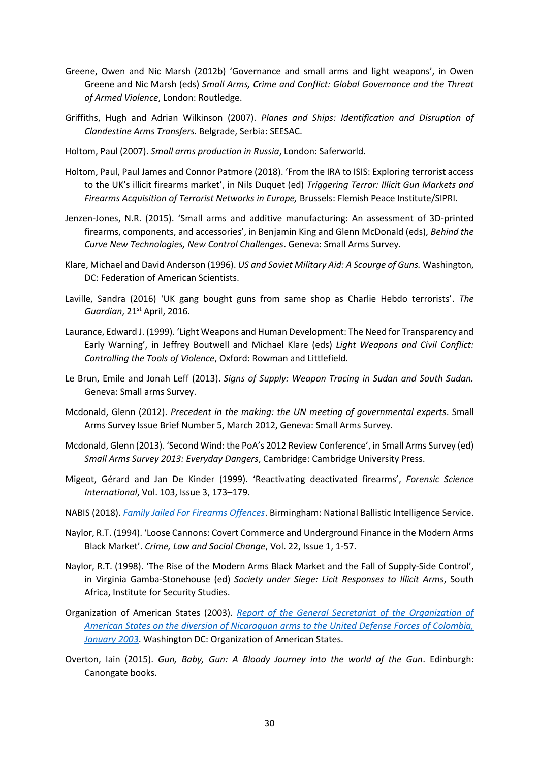- Greene, Owen and Nic Marsh (2012b) 'Governance and small arms and light weapons', in Owen Greene and Nic Marsh (eds) *Small Arms, Crime and Conflict: Global Governance and the Threat of Armed Violence*, London: Routledge.
- Griffiths, Hugh and Adrian Wilkinson (2007). *Planes and Ships: Identification and Disruption of Clandestine Arms Transfers.* Belgrade, Serbia: SEESAC.
- Holtom, Paul (2007). *Small arms production in Russia*, London: Saferworld.
- Holtom, Paul, Paul James and Connor Patmore (2018). 'From the IRA to ISIS: Exploring terrorist access to the UK's illicit firearms market', in Nils Duquet (ed) *Triggering Terror: Illicit Gun Markets and Firearms Acquisition of Terrorist Networks in Europe,* Brussels: Flemish Peace Institute/SIPRI.
- Jenzen-Jones, N.R. (2015). 'Small arms and additive manufacturing: An assessment of 3D-printed firearms, components, and accessories', in Benjamin King and Glenn McDonald (eds), *Behind the Curve New Technologies, New Control Challenges*. Geneva: Small Arms Survey.
- Klare, Michael and David Anderson (1996). *US and Soviet Military Aid: A Scourge of Guns.* Washington, DC: Federation of American Scientists.
- Laville, Sandra (2016) 'UK gang bought guns from same shop as Charlie Hebdo terrorists'. *The Guardian*, 21st April, 2016.
- Laurance, Edward J. (1999). 'Light Weapons and Human Development: The Need for Transparency and Early Warning', in Jeffrey Boutwell and Michael Klare (eds) *Light Weapons and Civil Conflict: Controlling the Tools of Violence*, Oxford: Rowman and Littlefield.
- Le Brun, Emile and Jonah Leff (2013). *Signs of Supply: Weapon Tracing in Sudan and South Sudan.* Geneva: Small arms Survey.
- Mcdonald, Glenn (2012). *Precedent in the making: the UN meeting of governmental experts*. Small Arms Survey Issue Brief Number 5, March 2012, Geneva: Small Arms Survey.
- Mcdonald, Glenn (2013). 'Second Wind: the PoA's 2012 Review Conference', in Small Arms Survey (ed) *Small Arms Survey 2013: Everyday Dangers*, Cambridge: Cambridge University Press.
- Migeot, Gérard and Jan De Kinder (1999). 'Reactivating deactivated firearms', *Forensic Science International*, Vol. 103, Issue 3, 173–179.
- NABIS (2018). *[Family Jailed For Firearms Offences](http://www.nabis.police.uk/news/Family-Jailed-For-Firearms-Offences)*. Birmingham: National Ballistic Intelligence Service.
- Naylor, R.T. (1994). 'Loose Cannons: Covert Commerce and Underground Finance in the Modern Arms Black Market'. *Crime, Law and Social Change*, Vol. 22, Issue 1, 1-57.
- Naylor, R.T. (1998). 'The Rise of the Modern Arms Black Market and the Fall of Supply-Side Control', in Virginia Gamba-Stonehouse (ed) *Society under Siege: Licit Responses to Illicit Arms*, South Africa, Institute for Security Studies.
- Organization of American States (2003). *[Report of the General Secretariat of the Organization of](https://fas.org/asmp/campaigns/smallarms/OAS_Otterloo.htm)  [American States on the diversion of Nicaraguan arms to the United Defense Forces of Colombia,](https://fas.org/asmp/campaigns/smallarms/OAS_Otterloo.htm)  [January 2003](https://fas.org/asmp/campaigns/smallarms/OAS_Otterloo.htm)*. Washington DC: Organization of American States.
- Overton, Iain (2015). *Gun, Baby, Gun: A Bloody Journey into the world of the Gun*. Edinburgh: Canongate books.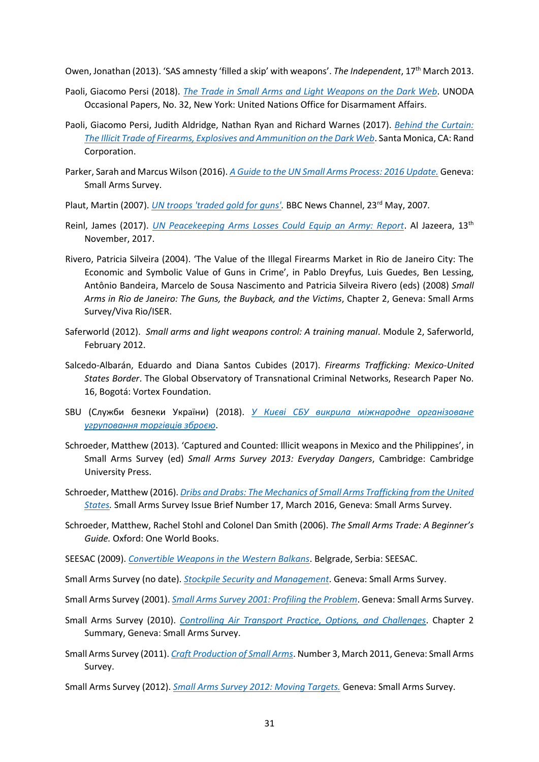Owen, Jonathan (2013). 'SAS amnesty 'filled a skip' with weapons'. *The Independent*, 17th March 2013.

- Paoli, Giacomo Persi (2018). *[The Trade in Small Arms and Light Weapons on the Dark Web](https://s3.amazonaws.com/unoda-web/wp-content/uploads/2018/10/occasional-paper-32.pdf)*. UNODA Occasional Papers, No. 32, New York: United Nations Office for Disarmament Affairs.
- Paoli, Giacomo Persi, Judith Aldridge, Nathan Ryan and Richard Warnes (2017). *[Behind the Curtain:](https://www.rand.org/pubs/research_reports/RR2091.html)  [The Illicit Trade of Firearms, Explosives and Ammunition on the Dark Web](https://www.rand.org/pubs/research_reports/RR2091.html)*. Santa Monica, CA: Rand Corporation.
- Parker, Sarah and Marcus Wilson (2016). *[A Guide to the UN Small Arms Process: 2016 Update.](http://www.smallarmssurvey.org/fileadmin/docs/Q-Handbooks/HB-02-Diplo-Guide/SAS-HB02-Guide-UN-Small-Arms-Process.pdf)* Geneva: Small Arms Survey.
- Plaut, Martin (2007). *[UN troops 'traded gold for guns'.](http://news.bbc.co.uk/1/hi/world/africa/6681457.stm)* BBC News Channel, 23rd May, 2007*.*
- Reinl, James (2017). *[UN Peacekeeping Arms Losses Could Equip an Army: Report](https://www.aljazeera.com/news/2017/11/peacekeeping-arms-losses-equip-army-small-arms-survey-171113075518696.html)*. Al Jazeera, 13th November, 2017.
- Rivero, Patricia Silveira (2004). 'The Value of the Illegal Firearms Market in Rio de Janeiro City: The Economic and Symbolic Value of Guns in Crime', in Pablo Dreyfus, Luis Guedes, Ben Lessing, Antônio Bandeira, Marcelo de Sousa Nascimento and Patricia Silveira Rivero (eds) (2008) *Small Arms in Rio de Janeiro: The Guns, the Buyback, and the Victims*, Chapter 2, Geneva: Small Arms Survey/Viva Rio/ISER.
- Saferworld (2012). *Small arms and light weapons control: A training manual*. Module 2, Saferworld, February 2012.
- Salcedo-Albarán, Eduardo and Diana Santos Cubides (2017). *Firearms Trafficking: Mexico-United States Border*. The Global Observatory of Transnational Criminal Networks, Research Paper No. 16, Bogotá: Vortex Foundation.
- SBU (Служби безпеки України) (2018). *[У Києві СБУ викрила міжнародне організоване](https://ssu.gov.ua/ru/news/1/category/2/view/4662#.sJrDG50W.dpbs)  [угруповання торгівців зброєю](https://ssu.gov.ua/ru/news/1/category/2/view/4662#.sJrDG50W.dpbs)*.
- Schroeder, Matthew (2013). 'Captured and Counted: Illicit weapons in Mexico and the Philippines', in Small Arms Survey (ed) *Small Arms Survey 2013: Everyday Dangers*, Cambridge: Cambridge University Press.
- Schroeder, Matthew (2016). *[Dribs and Drabs: The Mechanics of Small Arms Trafficking from the United](http://www.smallarmssurvey.org/fileadmin/docs/G-Issue-briefs/SAS-IB17-Mechanics-of-trafficking.pdf)  [States.](http://www.smallarmssurvey.org/fileadmin/docs/G-Issue-briefs/SAS-IB17-Mechanics-of-trafficking.pdf)* Small Arms Survey Issue Brief Number 17, March 2016, Geneva: Small Arms Survey.
- Schroeder, Matthew, Rachel Stohl and Colonel Dan Smith (2006). *The Small Arms Trade: A Beginner's Guide.* Oxford: One World Books.
- SEESAC (2009). *[Convertible Weapons in the Western Balkans](http://www.seesac.org/f/docs/SALW-Marking-and-Tracing-2/Convertible-Weapons-in-the-Western-Balkans-EN_1.pdf)*. Belgrade, Serbia: SEESAC.
- Small Arms Survey (no date). *[Stockpile Security and Management](http://www.smallarmssurvey.org/regulations-and-controls/control-measures/pssm.html)*. Geneva: Small Arms Survey.
- Small Arms Survey (2001). *[Small Arms Survey 2001: Profiling the Problem](http://www.smallarmssurvey.org/publications/by-type/yearbook/small-arms-survey-2001.html)*. Geneva: Small Arms Survey.
- Small Arms Survey (2010). *[Controlling Air Transport Practice, Options, and Challenges](http://www.smallarmssurvey.org/fileadmin/docs/A-Yearbook/2010/en/Small-Arms-Survey-2010-Chapter-02-summary-EN.pdf)*. Chapter 2 Summary, Geneva: Small Arms Survey.
- Small Arms Survey (2011). *[Craft Production of Small Arms](http://www.smallarmssurvey.org/fileadmin/docs/H-Research_Notes/SAS-Research-Note-3.pdf)*. Number 3, March 2011, Geneva: Small Arms Survey.
- Small Arms Survey (2012). *[Small Arms Survey 2012: Moving Targets.](http://www.smallarmssurvey.org/publications/by-type/yearbook/small-arms-survey-2012.html)* Geneva: Small Arms Survey.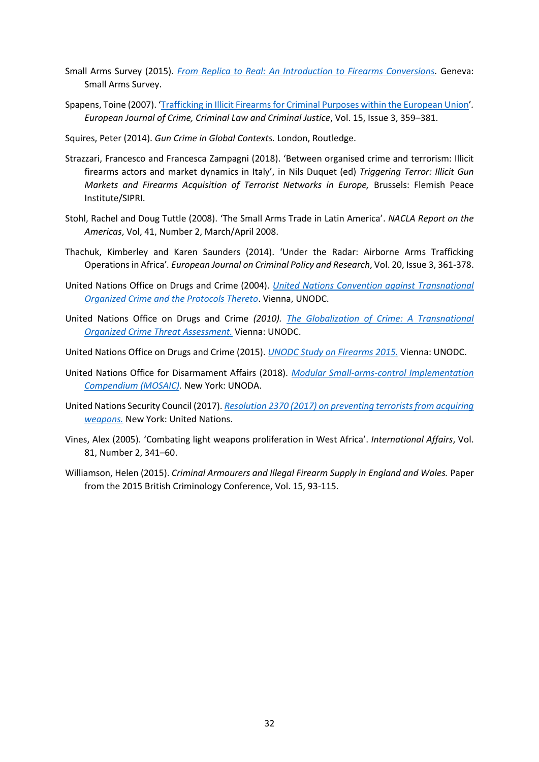- Small Arms Survey (2015). *[From Replica to Real: An Introduction to Firearms Conversions.](http://www.smallarmssurvey.org/about-us/highlights/highlights-2015/highlight-ib10.html)* Geneva: Small Arms Survey.
- Spapens, Toine (2007). '[Trafficking in Illicit Firearms for Criminal Purposes within the European Union](https://pure.uvt.nl/ws/files/923753/fulltext.pdf)'*. European Journal of Crime, Criminal Law and Criminal Justice*, Vol. 15, Issue 3, 359–381.
- Squires, Peter (2014). *Gun Crime in Global Contexts.* London, Routledge.
- Strazzari, Francesco and Francesca Zampagni (2018). 'Between organised crime and terrorism: Illicit firearms actors and market dynamics in Italy', in Nils Duquet (ed) *Triggering Terror: Illicit Gun Markets and Firearms Acquisition of Terrorist Networks in Europe,* Brussels: Flemish Peace Institute/SIPRI.
- Stohl, Rachel and Doug Tuttle (2008). 'The Small Arms Trade in Latin America'. *NACLA Report on the Americas*, Vol, 41, Number 2, March/April 2008.
- Thachuk, Kimberley and Karen Saunders (2014). 'Under the Radar: Airborne Arms Trafficking Operations in Africa'*. European Journal on Criminal Policy and Research*, Vol. 20, Issue 3, 361-378.
- United Nations Office on Drugs and Crime (2004). *[United Nations Convention against Transnational](https://www.unodc.org/documents/treaties/UNTOC/Publications/TOC%20Convention/TOCebook-e.pdf)  [Organized Crime and the Protocols Thereto](https://www.unodc.org/documents/treaties/UNTOC/Publications/TOC%20Convention/TOCebook-e.pdf)*. Vienna, UNODC.
- United Nations Office on Drugs and Crime *(2010). [The Globalization of Crime: A Transnational](http://www.unodc.org/res/cld/bibliography/the-globalization-of-crime-a-transnational-organized-crime-threat-assessment_html/TOCTA_Report_2010_low_res.pdf)  [Organized Crime Threat Assessment.](http://www.unodc.org/res/cld/bibliography/the-globalization-of-crime-a-transnational-organized-crime-threat-assessment_html/TOCTA_Report_2010_low_res.pdf)* Vienna: UNODC.
- United Nations Office on Drugs and Crime (2015). *[UNODC Study on Firearms 2015.](https://www.unodc.org/documents/firearms-protocol/UNODC_Study_on_Firearms_WEB.pdf)* Vienna: UNODC.
- United Nations Office for Disarmament Affairs (2018). *[Modular Small-arms-control Implementation](https://www.un.org/disarmament/convarms/mosaic/)  [Compendium \(MOSAIC\).](https://www.un.org/disarmament/convarms/mosaic/)* New York: UNODA.
- United Nations Security Council (2017). *[Resolution 2370 \(2017\) on preventing terrorists from acquiring](https://www.securitycouncilreport.org/atf/cf/%7B65BFCF9B-6D27-4E9C-8CD3-CF6E4FF96FF9%7D/s_res_2370.pdf)  [weapons.](https://www.securitycouncilreport.org/atf/cf/%7B65BFCF9B-6D27-4E9C-8CD3-CF6E4FF96FF9%7D/s_res_2370.pdf)* New York: United Nations.
- Vines, Alex (2005). 'Combating light weapons proliferation in West Africa'. *International Affairs*, Vol. 81, Number 2, 341–60.
- Williamson, Helen (2015). *Criminal Armourers and Illegal Firearm Supply in England and Wales.* Paper from the 2015 British Criminology Conference, Vol. 15, 93-115.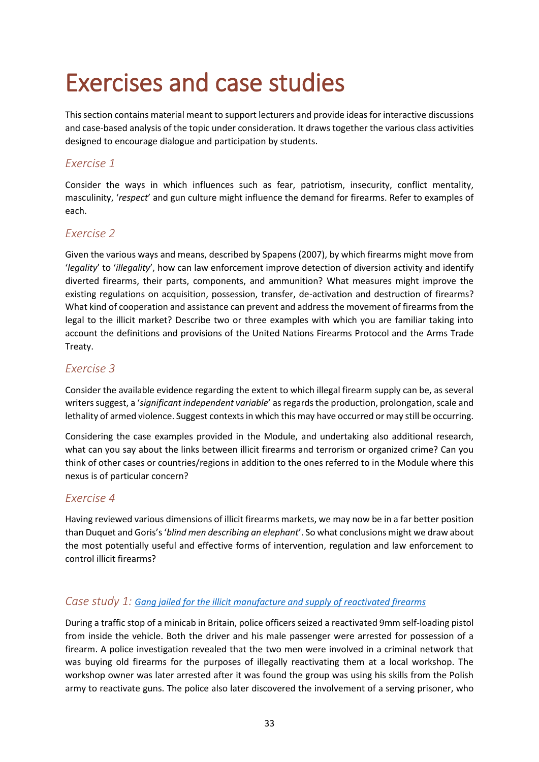# <span id="page-36-0"></span>Exercises and case studies

This section contains material meant to support lecturers and provide ideas for interactive discussions and case-based analysis of the topic under consideration. It draws together the various class activities designed to encourage dialogue and participation by students.

#### *Exercise 1*

Consider the ways in which influences such as fear, patriotism, insecurity, conflict mentality, masculinity, '*respect*' and gun culture might influence the demand for firearms. Refer to examples of each.

#### *Exercise 2*

Given the various ways and means, described by Spapens (2007), by which firearms might move from '*legality*' to '*illegality*', how can law enforcement improve detection of diversion activity and identify diverted firearms, their parts, components, and ammunition? What measures might improve the existing regulations on acquisition, possession, transfer, de-activation and destruction of firearms? What kind of cooperation and assistance can prevent and address the movement of firearms from the legal to the illicit market? Describe two or three examples with which you are familiar taking into account the definitions and provisions of the United Nations Firearms Protocol and the Arms Trade Treaty.

#### *Exercise 3*

Consider the available evidence regarding the extent to which illegal firearm supply can be, as several writers suggest, a '*significant independent variable*' as regards the production, prolongation, scale and lethality of armed violence. Suggest contexts in which this may have occurred or may still be occurring.

Considering the case examples provided in the Module, and undertaking also additional research, what can you say about the links between illicit firearms and terrorism or organized crime? Can you think of other cases or countries/regions in addition to the ones referred to in the Module where this nexus is of particular concern?

#### *Exercise 4*

Having reviewed various dimensions of illicit firearms markets, we may now be in a far better position than Duquet and Goris's '*blind men describing an elephant*'. So what conclusions might we draw about the most potentially useful and effective forms of intervention, regulation and law enforcement to control illicit firearms?

#### *Case study 1: [Gang jailed for the illicit manufacture and supply of reactivated firearms](https://www.theguardian.com/uk-news/2016/jan/22/gun-gang-jailed-45-years-prison)*

During a traffic stop of a minicab in Britain, police officers seized a reactivated 9mm self-loading pistol from inside the vehicle. Both the driver and his male passenger were arrested for possession of a firearm. A police investigation revealed that the two men were involved in a criminal network that was buying old firearms for the purposes of illegally reactivating them at a local workshop. The workshop owner was later arrested after it was found the group was using his skills from the Polish army to reactivate guns. The police also later discovered the involvement of a serving prisoner, who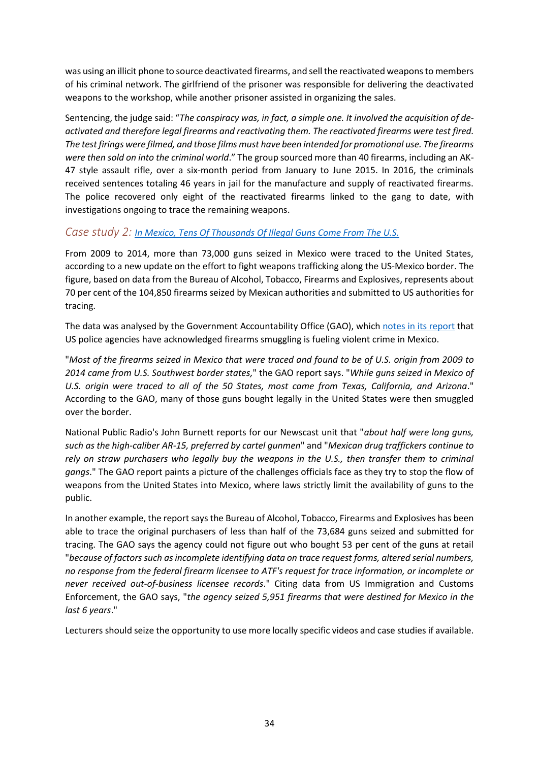was using an illicit phone to source deactivated firearms, and sell the reactivated weapons to members of his criminal network. The girlfriend of the prisoner was responsible for delivering the deactivated weapons to the workshop, while another prisoner assisted in organizing the sales.

Sentencing, the judge said: "*The conspiracy was, in fact, a simple one. It involved the acquisition of deactivated and therefore legal firearms and reactivating them. The reactivated firearms were test fired. The test firings were filmed, and those films must have been intended for promotional use. The firearms were then sold on into the criminal world*." The group sourced more than 40 firearms, including an AK-47 style assault rifle, over a six-month period from January to June 2015. In 2016, the criminals received sentences totaling 46 years in jail for the manufacture and supply of reactivated firearms. The police recovered only eight of the reactivated firearms linked to the gang to date, with investigations ongoing to trace the remaining weapons.

#### *Case study 2: [In Mexico, Tens Of Thousands Of Illegal Guns](https://www.npr.org/sections/thetwo-way/2016/01/12/462781469/in-mexico-tens-of-thousands-of-illegal-guns-come-from-the-u-s) Come From The U.S.*

From 2009 to 2014, more than 73,000 guns seized in Mexico were traced to the United States, according to a new update on the effort to fight weapons trafficking along the US-Mexico border. The figure, based on data from the Bureau of Alcohol, Tobacco, Firearms and Explosives, represents about 70 per cent of the 104,850 firearms seized by Mexican authorities and submitted to US authorities for tracing.

The data was analysed by the Government Accountability Office (GAO), whic[h notes in its report](http://www.gao.gov/products/GAO-16-223) that US police agencies have acknowledged firearms smuggling is fueling violent crime in Mexico.

"*Most of the firearms seized in Mexico that were traced and found to be of U.S. origin from 2009 to 2014 came from U.S. Southwest border states,*" the GAO report says. "*While guns seized in Mexico of U.S. origin were traced to all of the 50 States, most came from Texas, California, and Arizona*." According to the GAO, many of those guns bought legally in the United States were then smuggled over the border.

National Public Radio's John Burnett reports for our Newscast unit that "*about half were long guns, such as the high-caliber AR-15, preferred by cartel gunmen*" and "*Mexican drug traffickers continue to rely on straw purchasers who legally buy the weapons in the U.S., then transfer them to criminal gangs*." The GAO report paints a picture of the challenges officials face as they try to stop the flow of weapons from the United States into Mexico, where laws strictly limit the availability of guns to the public.

In another example, the report says the Bureau of Alcohol, Tobacco, Firearms and Explosives has been able to trace the original purchasers of less than half of the 73,684 guns seized and submitted for tracing. The GAO says the agency could not figure out who bought 53 per cent of the guns at retail "*because of factors such as incomplete identifying data on trace request forms, altered serial numbers, no response from the federal firearm licensee to ATF's request for trace information, or incomplete or never received out-of-business licensee records*." Citing data from US Immigration and Customs Enforcement, the GAO says, "*the agency seized 5,951 firearms that were destined for Mexico in the last 6 years*."

Lecturers should seize the opportunity to use more locally specific videos and case studies if available.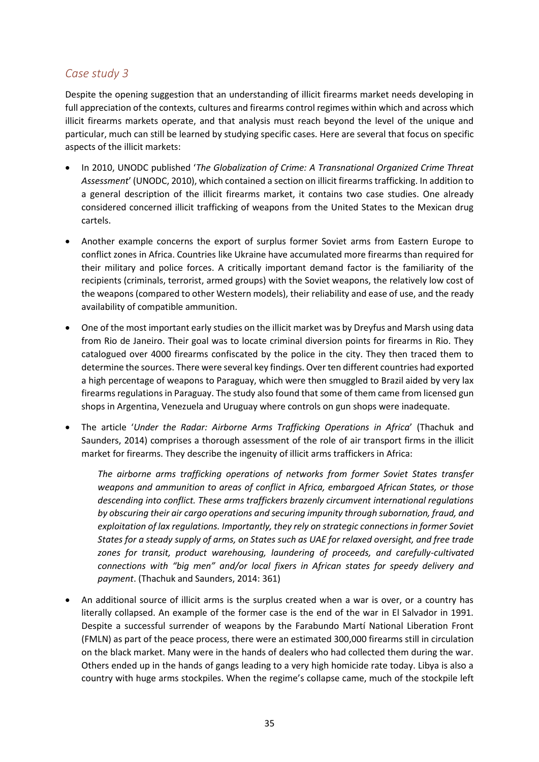#### *Case study 3*

Despite the opening suggestion that an understanding of illicit firearms market needs developing in full appreciation of the contexts, cultures and firearms control regimes within which and across which illicit firearms markets operate, and that analysis must reach beyond the level of the unique and particular, much can still be learned by studying specific cases. Here are several that focus on specific aspects of the illicit markets:

- In 2010, UNODC published '*The Globalization of Crime: A Transnational Organized Crime Threat Assessment*' (UNODC, 2010), which contained a section on illicit firearms trafficking. In addition to a general description of the illicit firearms market, it contains two case studies. One already considered concerned illicit trafficking of weapons from the United States to the Mexican drug cartels.
- Another example concerns the export of surplus former Soviet arms from Eastern Europe to conflict zones in Africa. Countries like Ukraine have accumulated more firearms than required for their military and police forces. A critically important demand factor is the familiarity of the recipients (criminals, terrorist, armed groups) with the Soviet weapons, the relatively low cost of the weapons (compared to other Western models), their reliability and ease of use, and the ready availability of compatible ammunition.
- One of the most important early studies on the illicit market was by Dreyfus and Marsh using data from Rio de Janeiro. Their goal was to locate criminal diversion points for firearms in Rio. They catalogued over 4000 firearms confiscated by the police in the city. They then traced them to determine the sources. There were several key findings. Over ten different countries had exported a high percentage of weapons to Paraguay, which were then smuggled to Brazil aided by very lax firearms regulations in Paraguay. The study also found that some of them came from licensed gun shops in Argentina, Venezuela and Uruguay where controls on gun shops were inadequate.
- The article '*Under the Radar: Airborne Arms Trafficking Operations in Africa*' (Thachuk and Saunders, 2014) comprises a thorough assessment of the role of air transport firms in the illicit market for firearms. They describe the ingenuity of illicit arms traffickers in Africa:

*The airborne arms trafficking operations of networks from former Soviet States transfer weapons and ammunition to areas of conflict in Africa, embargoed African States, or those descending into conflict. These arms traffickers brazenly circumvent international regulations by obscuring their air cargo operations and securing impunity through subornation, fraud, and exploitation of lax regulations. Importantly, they rely on strategic connections in former Soviet States for a steady supply of arms, on States such as UAE for relaxed oversight, and free trade zones for transit, product warehousing, laundering of proceeds, and carefully-cultivated connections with "big men" and/or local fixers in African states for speedy delivery and payment*. (Thachuk and Saunders, 2014: 361)

• An additional source of illicit arms is the surplus created when a war is over, or a country has literally collapsed. An example of the former case is the end of the war in El Salvador in 1991. Despite a successful surrender of weapons by the Farabundo Martí National Liberation Front (FMLN) as part of the peace process, there were an estimated 300,000 firearms still in circulation on the black market. Many were in the hands of dealers who had collected them during the war. Others ended up in the hands of gangs leading to a very high homicide rate today. Libya is also a country with huge arms stockpiles. When the regime's collapse came, much of the stockpile left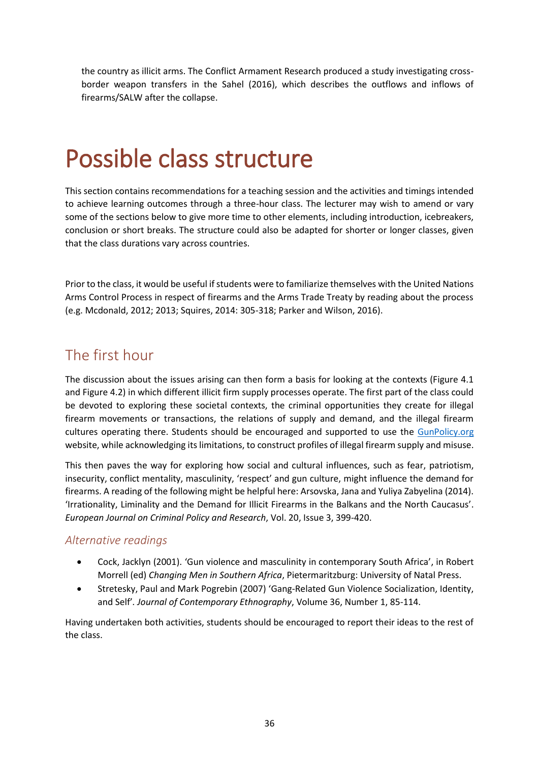the country as illicit arms. The Conflict Armament Research produced a study investigating crossborder weapon transfers in the Sahel (2016), which describes the outflows and inflows of firearms/SALW after the collapse.

# <span id="page-39-0"></span>Possible class structure

This section contains recommendations for a teaching session and the activities and timings intended to achieve learning outcomes through a three-hour class. The lecturer may wish to amend or vary some of the sections below to give more time to other elements, including introduction, icebreakers, conclusion or short breaks. The structure could also be adapted for shorter or longer classes, given that the class durations vary across countries.

Prior to the class, it would be useful if students were to familiarize themselves with the United Nations Arms Control Process in respect of firearms and the Arms Trade Treaty by reading about the process (e.g. Mcdonald, 2012; 2013; Squires, 2014: 305-318; Parker and Wilson, 2016).

### <span id="page-39-1"></span>The first hour

The discussion about the issues arising can then form a basis for looking at the contexts (Figure 4.1 and Figure 4.2) in which different illicit firm supply processes operate. The first part of the class could be devoted to exploring these societal contexts, the criminal opportunities they create for illegal firearm movements or transactions, the relations of supply and demand, and the illegal firearm cultures operating there. Students should be encouraged and supported to use the [GunPolicy.org](https://www.gunpolicy.org/) website, while acknowledging its limitations, to construct profiles of illegal firearm supply and misuse.

This then paves the way for exploring how social and cultural influences, such as fear, patriotism, insecurity, conflict mentality, masculinity, 'respect' and gun culture, might influence the demand for firearms. A reading of the following might be helpful here: Arsovska, Jana and Yuliya Zabyelina (2014). 'Irrationality, Liminality and the Demand for Illicit Firearms in the Balkans and the North Caucasus'. *European Journal on Criminal Policy and Research*, Vol. 20, Issue 3, 399-420.

#### *Alternative readings*

- Cock, Jacklyn (2001). 'Gun violence and masculinity in contemporary South Africa', in Robert Morrell (ed) *Changing Men in Southern Africa*, Pietermaritzburg: University of Natal Press.
- Stretesky, Paul and Mark Pogrebin (2007) 'Gang-Related Gun Violence Socialization, Identity, and Self'*. Journal of Contemporary Ethnography*, Volume 36, Number 1, 85-114.

Having undertaken both activities, students should be encouraged to report their ideas to the rest of the class.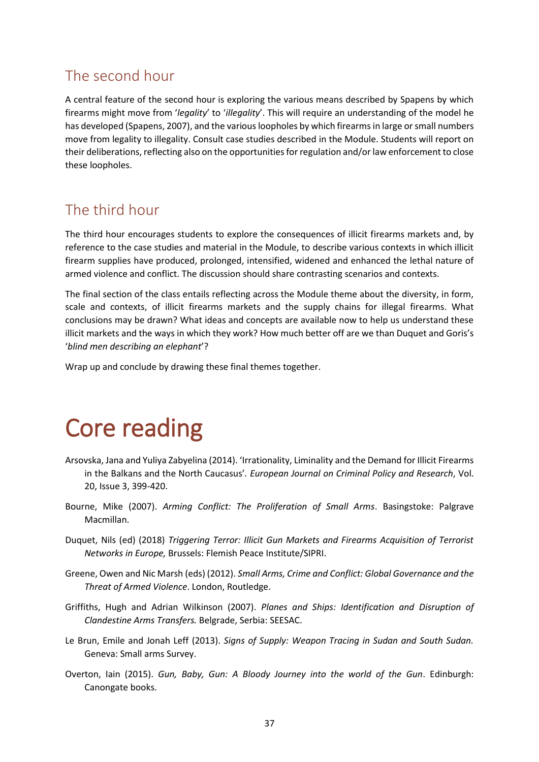### <span id="page-40-0"></span>The second hour

A central feature of the second hour is exploring the various means described by Spapens by which firearms might move from '*legality*' to '*illegality*'. This will require an understanding of the model he has developed (Spapens, 2007), and the various loopholes by which firearms in large or small numbers move from legality to illegality. Consult case studies described in the Module. Students will report on their deliberations, reflecting also on the opportunities for regulation and/or law enforcement to close these loopholes.

### <span id="page-40-1"></span>The third hour

The third hour encourages students to explore the consequences of illicit firearms markets and, by reference to the case studies and material in the Module, to describe various contexts in which illicit firearm supplies have produced, prolonged, intensified, widened and enhanced the lethal nature of armed violence and conflict. The discussion should share contrasting scenarios and contexts.

The final section of the class entails reflecting across the Module theme about the diversity, in form, scale and contexts, of illicit firearms markets and the supply chains for illegal firearms. What conclusions may be drawn? What ideas and concepts are available now to help us understand these illicit markets and the ways in which they work? How much better off are we than Duquet and Goris's '*blind men describing an elephant*'?

Wrap up and conclude by drawing these final themes together.

# <span id="page-40-2"></span>Core reading

- Arsovska, Jana and Yuliya Zabyelina (2014). 'Irrationality, Liminality and the Demand for Illicit Firearms in the Balkans and the North Caucasus'*. European Journal on Criminal Policy and Research*, Vol. 20, Issue 3, 399-420.
- Bourne, Mike (2007). *Arming Conflict: The Proliferation of Small Arms*. Basingstoke: Palgrave Macmillan.
- Duquet, Nils (ed) (2018) *Triggering Terror: Illicit Gun Markets and Firearms Acquisition of Terrorist Networks in Europe,* Brussels: Flemish Peace Institute/SIPRI.
- Greene, Owen and Nic Marsh (eds) (2012). *Small Arms, Crime and Conflict: Global Governance and the Threat of Armed Violence*. London, Routledge.
- Griffiths, Hugh and Adrian Wilkinson (2007). *Planes and Ships: Identification and Disruption of Clandestine Arms Transfers.* Belgrade, Serbia: SEESAC.
- Le Brun, Emile and Jonah Leff (2013). *Signs of Supply: Weapon Tracing in Sudan and South Sudan.* Geneva: Small arms Survey.
- Overton, Iain (2015). *Gun, Baby, Gun: A Bloody Journey into the world of the Gun*. Edinburgh: Canongate books.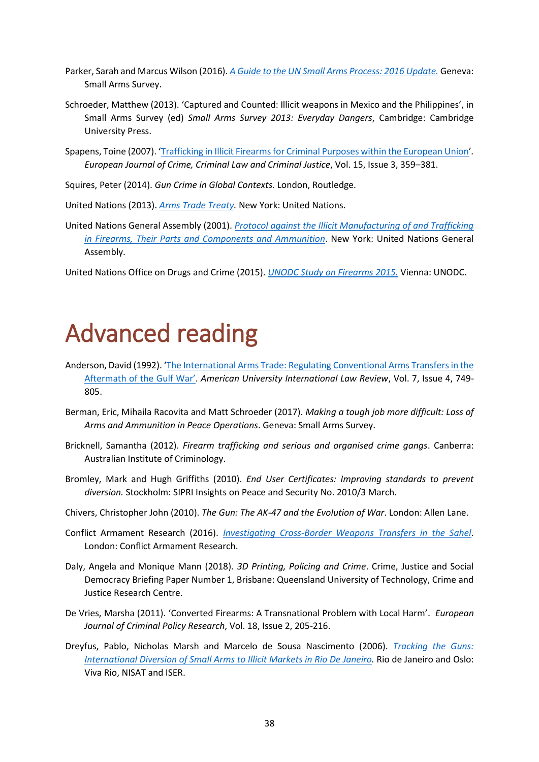- Parker, Sarah and Marcus Wilson (2016). *A Guide to [the UN Small Arms Process: 2016 Update.](http://www.smallarmssurvey.org/fileadmin/docs/Q-Handbooks/HB-02-Diplo-Guide/SAS-HB02-Guide-UN-Small-Arms-Process.pdf)* Geneva: Small Arms Survey.
- Schroeder, Matthew (2013). 'Captured and Counted: Illicit weapons in Mexico and the Philippines', in Small Arms Survey (ed) *Small Arms Survey 2013: Everyday Dangers*, Cambridge: Cambridge University Press.
- Spapens, Toine (2007). '[Trafficking in Illicit Firearms for Criminal Purposes within the European Union](https://pure.uvt.nl/ws/files/923753/fulltext.pdf)'*. European Journal of Crime, Criminal Law and Criminal Justice*, Vol. 15, Issue 3, 359–381.
- Squires, Peter (2014). *Gun Crime in Global Contexts.* London, Routledge.

United Nations (2013). *[Arms Trade Treaty.](https://unoda-web.s3.amazonaws.com/wp-content/uploads/2013/06/English7.pdf)* New York: United Nations.

- United Nations General Assembly (2001). *[Protocol against the Illicit Manufacturing of and Trafficking](https://www.unodc.org/documents/treaties/UNTOC/Publications/A-RES%2055-255/55r255e.pdf)  [in Firearms, Their Parts and Components and Ammunition](https://www.unodc.org/documents/treaties/UNTOC/Publications/A-RES%2055-255/55r255e.pdf)*. New York: United Nations General Assembly.
- United Nations Office on Drugs and Crime (2015). *[UNODC Study on Firearms 2015.](https://www.unodc.org/documents/firearms-protocol/UNODC_Study_on_Firearms_WEB.pdf)* Vienna: UNODC.

# <span id="page-41-0"></span>Advanced reading

- Anderson, David (1992). '[The International Arms Trade: Regulating Conventional Arms Transfers in the](https://digitalcommons.wcl.american.edu/cgi/viewcontent.cgi?referer=&httpsredir=1&article=1529&context=auilr&sei)  [Aftermath of th](https://digitalcommons.wcl.american.edu/cgi/viewcontent.cgi?referer=&httpsredir=1&article=1529&context=auilr&sei)e Gulf War'. *American University International Law Review*, Vol. 7, Issue 4, 749- 805.
- Berman, Eric, Mihaila Racovita and Matt Schroeder (2017). *Making a tough job more difficult: Loss of Arms and Ammunition in Peace Operations*. Geneva: Small Arms Survey.
- Bricknell, Samantha (2012). *Firearm trafficking and serious and organised crime gangs*. Canberra: Australian Institute of Criminology.
- Bromley, Mark and Hugh Griffiths (2010). *End User Certificates: Improving standards to prevent diversion.* Stockholm: SIPRI Insights on Peace and Security No. 2010/3 March.
- Chivers, Christopher John (2010). *The Gun: The AK-47 and the Evolution of War*. London: Allen Lane.
- Conflict Armament Research (2016). *[Investigating Cross-Border Weapons Transfers in the Sahel](file:///C:/Users/dimov/Downloads/Investigating-Libya-Cross-border-Weapon-Transfers-to-the-Sahel-English.pdf)*. London: Conflict Armament Research.
- Daly, Angela and Monique Mann (2018). *3D Printing, Policing and Crime*. Crime, Justice and Social Democracy Briefing Paper Number 1, Brisbane: Queensland University of Technology, Crime and Justice Research Centre.
- De Vries, Marsha (2011). 'Converted Firearms: A Transnational Problem with Local Harm'. *European Journal of Criminal Policy Research*, Vol. 18, Issue 2, 205-216.
- Dreyfus, Pablo, Nicholas Marsh and Marcelo de Sousa Nascimento (2006). *[Tracking the Guns:](https://www.prio.org/utility/DownloadFile.ashx?id=641&type=publicationfile)  [International Diversion of Small Arms to Illicit Markets in Rio De Janeiro.](https://www.prio.org/utility/DownloadFile.ashx?id=641&type=publicationfile)* Rio de Janeiro and Oslo: Viva Rio, NISAT and ISER.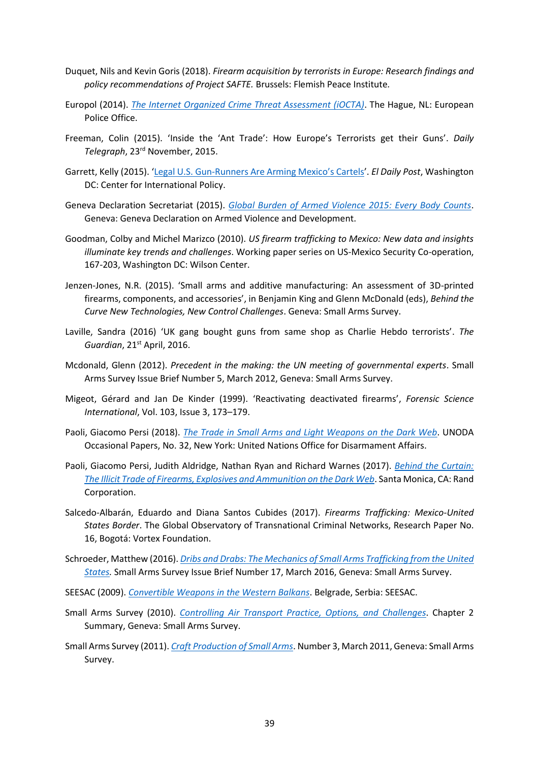- Duquet, Nils and Kevin Goris (2018). *Firearm acquisition by terrorists in Europe: Research findings and policy recommendations of Project SAFTE.* Brussels: Flemish Peace Institute*.*
- Europol (2014). *[The Internet Organized Crime Threat Assessment \(iOCTA\)](http://www.europarl.europa.eu/meetdocs/2014_2019/documents/libe/dv/europol_iocta_/europol_iocta_en.pdf)*. The Hague, NL: European Police Office.
- Freeman, Colin (2015). 'Inside the 'Ant Trade': How Europe's Terrorists get their Guns'. *Daily Telegraph*, 23rd November, 2015.
- Garrett, Kelly (2015). 'Legal U.S. Gun-Runners Ar[e Arming Mexico's Cartels'](https://securityassistance.org/content/legal-us-gun-runners-are-arming-mexico%E2%80%99s-cartels). *El Daily Post*, Washington DC: Center for International Policy.
- Geneva Declaration Secretariat (2015). *[Global Burden of Armed Violence 2015: Every Body Counts](http://www.genevadeclaration.org/measurability/global-burden-of-armed-violence/global-burden-of-armed-violence-2015.html)*. Geneva: Geneva Declaration on Armed Violence and Development.
- Goodman, Colby and Michel Marizco (2010). *US firearm trafficking to Mexico: New data and insights illuminate key trends and challenges*. Working paper series on US-Mexico Security Co-operation, 167-203, Washington DC: Wilson Center.
- Jenzen-Jones, N.R. (2015). 'Small arms and additive manufacturing: An assessment of 3D-printed firearms, components, and accessories', in Benjamin King and Glenn McDonald (eds), *Behind the Curve New Technologies, New Control Challenges*. Geneva: Small Arms Survey.
- Laville, Sandra (2016) 'UK gang bought guns from same shop as Charlie Hebdo terrorists'. *The Guardian*, 21st April, 2016.
- Mcdonald, Glenn (2012). *Precedent in the making: the UN meeting of governmental experts*. Small Arms Survey Issue Brief Number 5, March 2012, Geneva: Small Arms Survey.
- Migeot, Gérard and Jan De Kinder (1999). 'Reactivating deactivated firearms', *Forensic Science International*, Vol. 103, Issue 3, 173–179.
- Paoli, Giacomo Persi (2018). *[The Trade in Small Arms and Light Weapons on the Dark Web](https://s3.amazonaws.com/unoda-web/wp-content/uploads/2018/10/occasional-paper-32.pdf)*. UNODA Occasional Papers, No. 32, New York: United Nations Office for Disarmament Affairs.
- Paoli, Giacomo Persi, Judith Aldridge, Nathan Ryan and Richard Warnes (2017). *[Behind the Curtain:](https://www.rand.org/pubs/research_reports/RR2091.html)  [The Illicit Trade of Firearms, Explosives and Ammunition on the Dark Web](https://www.rand.org/pubs/research_reports/RR2091.html)*. Santa Monica, CA: Rand Corporation.
- Salcedo-Albarán, Eduardo and Diana Santos Cubides (2017). *Firearms Trafficking: Mexico-United States Border*. The Global Observatory of Transnational Criminal Networks, Research Paper No. 16, Bogotá: Vortex Foundation.
- Schroeder, Matthew (2016). *[Dribs and Drabs: The Mechanics of Small Arms Trafficking from the](http://www.smallarmssurvey.org/fileadmin/docs/G-Issue-briefs/SAS-IB17-Mechanics-of-trafficking.pdf) United [States.](http://www.smallarmssurvey.org/fileadmin/docs/G-Issue-briefs/SAS-IB17-Mechanics-of-trafficking.pdf)* Small Arms Survey Issue Brief Number 17, March 2016, Geneva: Small Arms Survey.
- SEESAC (2009). *Convertible Weapons [in the Western Balkans](http://www.seesac.org/f/docs/SALW-Marking-and-Tracing-2/Convertible-Weapons-in-the-Western-Balkans-EN_1.pdf)*. Belgrade, Serbia: SEESAC.
- Small Arms Survey (2010). *[Controlling Air Transport Practice, Options, and](http://www.smallarmssurvey.org/fileadmin/docs/A-Yearbook/2010/en/Small-Arms-Survey-2010-Chapter-02-summary-EN.pdf) Challenges*. Chapter 2 Summary, Geneva: Small Arms Survey.
- Small Arms Survey (2011). *[Craft Production of Small Arms](http://www.smallarmssurvey.org/fileadmin/docs/H-Research_Notes/SAS-Research-Note-3.pdf)*. Number 3, March 2011, Geneva: Small Arms Survey.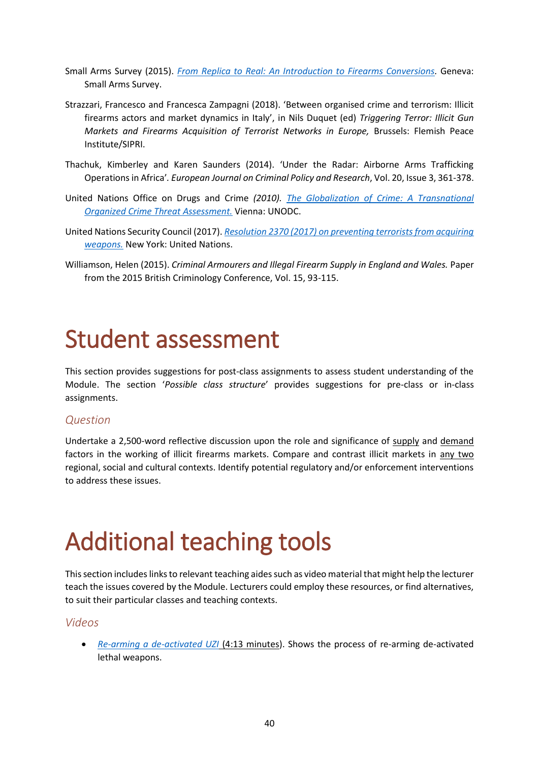- Small Arms Survey (2015). *[From Replica to Real: An Introduction to Firearms Conversions.](http://www.smallarmssurvey.org/about-us/highlights/highlights-2015/highlight-ib10.html)* Geneva: Small Arms Survey.
- Strazzari, Francesco and Francesca Zampagni (2018). 'Between organised crime and terrorism: Illicit firearms actors and market dynamics in Italy', in Nils Duquet (ed) *Triggering Terror: Illicit Gun Markets and Firearms Acquisition of Terrorist Networks in Europe,* Brussels: Flemish Peace Institute/SIPRI.
- Thachuk, Kimberley and Karen Saunders (2014). 'Under the Radar: Airborne Arms Trafficking Operations in Africa'*. European Journal on Criminal Policy and Research*, Vol. 20, Issue 3, 361-378.
- United Nations Office on Drugs and Crime *(2010). [The Globalization of Crime: A Transnational](http://www.unodc.org/res/cld/bibliography/the-globalization-of-crime-a-transnational-organized-crime-threat-assessment_html/TOCTA_Report_2010_low_res.pdf)  [Organized Crime Threat Assessment.](http://www.unodc.org/res/cld/bibliography/the-globalization-of-crime-a-transnational-organized-crime-threat-assessment_html/TOCTA_Report_2010_low_res.pdf)* Vienna: UNODC.
- United Nations Security Council (2017). *[Resolution 2370 \(2017\) on preventing terrorists from acquiring](https://www.securitycouncilreport.org/atf/cf/%7B65BFCF9B-6D27-4E9C-8CD3-CF6E4FF96FF9%7D/s_res_2370.pdf)  [weapons.](https://www.securitycouncilreport.org/atf/cf/%7B65BFCF9B-6D27-4E9C-8CD3-CF6E4FF96FF9%7D/s_res_2370.pdf)* New York: United Nations.
- Williamson, Helen (2015). *Criminal Armourers and Illegal Firearm Supply in England and Wales.* Paper from the 2015 British Criminology Conference, Vol. 15, 93-115.

# <span id="page-43-0"></span>Student assessment

This section provides suggestions for post-class assignments to assess student understanding of the Module. The section '*Possible class structure*' provides suggestions for pre-class or in-class assignments.

#### *Question*

Undertake a 2,500-word reflective discussion upon the role and significance of supply and demand factors in the working of illicit firearms markets. Compare and contrast illicit markets in any two regional, social and cultural contexts. Identify potential regulatory and/or enforcement interventions to address these issues.

# <span id="page-43-1"></span>Additional teaching tools

This section includes links to relevant teaching aides such as video material that might help the lecturer teach the issues covered by the Module. Lecturers could employ these resources, or find alternatives, to suit their particular classes and teaching contexts.

#### *Videos*

• *[Re-arming a de-activated UZI](https://vimeo.com/40772948)* (4:13 minutes). Shows the process of re-arming de-activated lethal weapons.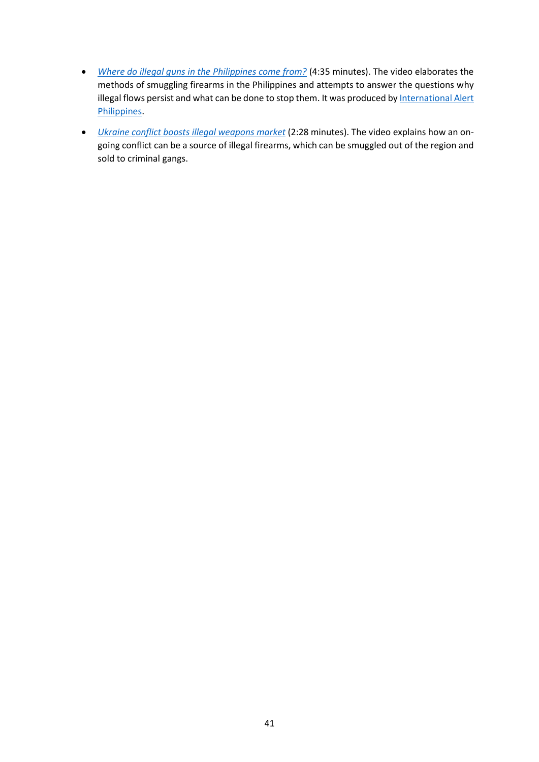- *[Where do illegal guns in the Philippines come from?](https://www.youtube.com/watch?v=Uw2ce1WtdBg)* (4:35 minutes). The video elaborates the methods of smuggling firearms in the Philippines and attempts to answer the questions why illegal flows persist and what can be done to stop them. It was produced by International Alert [Philippines.](https://www.international-alert.org/where-we-work/philippines)
- *[Ukraine conflict boosts illegal weapons market](https://www.youtube.com/watch?v=jCxbGe3yzbY)* (2:28 minutes). The video explains how an ongoing conflict can be a source of illegal firearms, which can be smuggled out of the region and sold to criminal gangs.